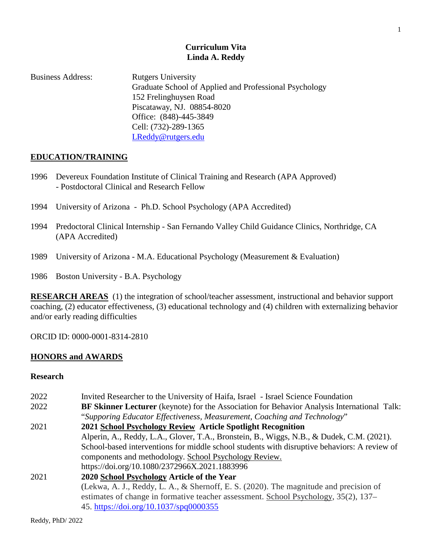# **Curriculum Vita Linda A. Reddy**

| <b>Business Address:</b> | <b>Rutgers University</b>                              |
|--------------------------|--------------------------------------------------------|
|                          | Graduate School of Applied and Professional Psychology |
|                          | 152 Frelinghuysen Road                                 |
|                          | Piscataway, NJ. 08854-8020                             |
|                          | Office: (848)-445-3849                                 |
|                          | Cell: (732)-289-1365                                   |
|                          | LReddy@rutgers.edu                                     |

### **EDUCATION/TRAINING**

- 1996 Devereux Foundation Institute of Clinical Training and Research (APA Approved) - Postdoctoral Clinical and Research Fellow
- 1994 University of Arizona Ph.D. School Psychology (APA Accredited)
- 1994 Predoctoral Clinical Internship San Fernando Valley Child Guidance Clinics, Northridge, CA (APA Accredited)
- 1989 University of Arizona M.A. Educational Psychology (Measurement & Evaluation)

1986 Boston University - B.A. Psychology

**RESEARCH AREAS** (1) the integration of school/teacher assessment, instructional and behavior support coaching, (2) educator effectiveness, (3) educational technology and (4) children with externalizing behavior and/or early reading difficulties

ORCID ID: 0000-0001-8314-2810

### **HONORS and AWARDS**

### **Research**

| Invited Researcher to the University of Haifa, Israel - Israel Science Foundation                  |
|----------------------------------------------------------------------------------------------------|
| <b>BF Skinner Lecturer</b> (keynote) for the Association for Behavior Analysis International Talk: |
| "Supporing Educator Effectiveness, Measurement, Coaching and Technology"                           |
| 2021 School Psychology Review Article Spotlight Recognition                                        |
| Alperin, A., Reddy, L.A., Glover, T.A., Bronstein, B., Wiggs, N.B., & Dudek, C.M. (2021).          |
| School-based interventions for middle school students with disruptive behaviors: A review of       |
| components and methodology. School Psychology Review.                                              |
| https://doi.org/10.1080/2372966X.2021.1883996                                                      |
| 2020 School Psychology Article of the Year                                                         |
| (Lekwa, A. J., Reddy, L. A., & Shernoff, E. S. (2020). The magnitude and precision of              |
| estimates of change in formative teacher assessment. School Psychology, 35(2), 137–                |
| 45. https://doi.org/10.1037/spq0000355                                                             |
|                                                                                                    |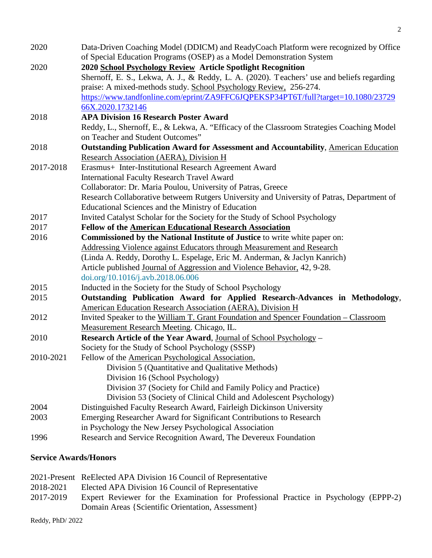| 2020                                                                                | Data-Driven Coaching Model (DDICM) and ReadyCoach Platform were recognized by Office      |  |  |
|-------------------------------------------------------------------------------------|-------------------------------------------------------------------------------------------|--|--|
| 2020                                                                                | of Special Education Programs (OSEP) as a Model Demonstration System                      |  |  |
|                                                                                     | 2020 School Psychology Review Article Spotlight Recognition                               |  |  |
|                                                                                     | Shernoff, E. S., Lekwa, A. J., & Reddy, L. A. (2020). Teachers' use and beliefs regarding |  |  |
|                                                                                     | praise: A mixed-methods study. School Psychology Review, 256-274.                         |  |  |
|                                                                                     | https://www.tandfonline.com/eprint/ZA9FFC6JQPEKSP34PT6T/full?target=10.1080/23729         |  |  |
|                                                                                     | 66X.2020.1732146                                                                          |  |  |
| 2018                                                                                | <b>APA Division 16 Research Poster Award</b>                                              |  |  |
|                                                                                     | Reddy, L., Shernoff, E., & Lekwa, A. "Efficacy of the Classroom Strategies Coaching Model |  |  |
|                                                                                     | on Teacher and Student Outcomes"                                                          |  |  |
| 2018                                                                                | Outstanding Publication Award for Assessment and Accountability, American Education       |  |  |
|                                                                                     | Research Association (AERA), Division H                                                   |  |  |
| 2017-2018                                                                           | Erasmus+ Inter-Institutional Research Agreement Award                                     |  |  |
|                                                                                     | <b>International Faculty Research Travel Award</b>                                        |  |  |
|                                                                                     | Collaborator: Dr. Maria Poulou, University of Patras, Greece                              |  |  |
|                                                                                     | Research Collaborative betweem Rutgers University and University of Patras, Department of |  |  |
|                                                                                     | Educational Sciences and the Ministry of Education                                        |  |  |
| Invited Catalyst Scholar for the Society for the Study of School Psychology<br>2017 |                                                                                           |  |  |
| 2017                                                                                | <b>Fellow of the American Educational Research Association</b>                            |  |  |
| 2016                                                                                | Commissioned by the National Institute of Justice to write white paper on:                |  |  |
|                                                                                     | Addressing Violence against Educators through Measurement and Research                    |  |  |
|                                                                                     | (Linda A. Reddy, Dorothy L. Espelage, Eric M. Anderman, & Jaclyn Kanrich)                 |  |  |
|                                                                                     | Article published Journal of Aggression and Violence Behavior, 42, 9-28.                  |  |  |
|                                                                                     | doi.org/10.1016/j.avb.2018.06.006                                                         |  |  |
| 2015                                                                                | Inducted in the Society for the Study of School Psychology                                |  |  |
| 2015                                                                                | Outstanding Publication Award for Applied Research-Advances in Methodology,               |  |  |
|                                                                                     | American Education Research Association (AERA), Division H                                |  |  |
| 2012                                                                                | Invited Speaker to the William T. Grant Foundation and Spencer Foundation – Classroom     |  |  |
|                                                                                     | Measurement Research Meeting. Chicago, IL.                                                |  |  |
| 2010                                                                                | Research Article of the Year Award, Journal of School Psychology -                        |  |  |
|                                                                                     | Society for the Study of School Psychology (SSSP)                                         |  |  |
| 2010-2021                                                                           | Fellow of the American Psychological Association,                                         |  |  |
|                                                                                     | Division 5 (Quantitative and Qualitative Methods)                                         |  |  |
|                                                                                     | Division 16 (School Psychology)                                                           |  |  |
|                                                                                     | Division 37 (Society for Child and Family Policy and Practice)                            |  |  |
|                                                                                     | Division 53 (Society of Clinical Child and Adolescent Psychology)                         |  |  |
| 2004                                                                                | Distinguished Faculty Research Award, Fairleigh Dickinson University                      |  |  |
| 2003                                                                                | Emerging Researcher Award for Significant Contributions to Research                       |  |  |
|                                                                                     | in Psychology the New Jersey Psychological Association                                    |  |  |
| 1996                                                                                | Research and Service Recognition Award, The Devereux Foundation                           |  |  |
|                                                                                     |                                                                                           |  |  |
|                                                                                     |                                                                                           |  |  |

# **Service Awards/Honors**

|           | 2021-Present ReElected APA Division 16 Council of Representative                     |
|-----------|--------------------------------------------------------------------------------------|
| 2018-2021 | Elected APA Division 16 Council of Representative                                    |
| 2017-2019 | Expert Reviewer for the Examination for Professional Practice in Psychology (EPPP-2) |
|           | Domain Areas {Scientific Orientation, Assessment}                                    |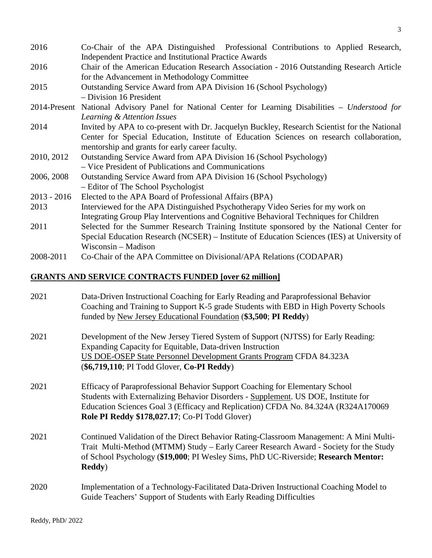| 2016          | Co-Chair of the APA Distinguished Professional Contributions to Applied Research,<br><b>Independent Practice and Institutional Practice Awards</b>                                                                                          |  |  |
|---------------|---------------------------------------------------------------------------------------------------------------------------------------------------------------------------------------------------------------------------------------------|--|--|
| 2016          | Chair of the American Education Research Association - 2016 Outstanding Research Article<br>for the Advancement in Methodology Committee                                                                                                    |  |  |
| 2015          | Outstanding Service Award from APA Division 16 (School Psychology)<br>- Division 16 President                                                                                                                                               |  |  |
|               | 2014-Present National Advisory Panel for National Center for Learning Disabilities – Understood for<br>Learning & Attention Issues                                                                                                          |  |  |
| 2014          | Invited by APA to co-present with Dr. Jacquelyn Buckley, Research Scientist for the National<br>Center for Special Education, Institute of Education Sciences on research collaboration,<br>mentorship and grants for early career faculty. |  |  |
| 2010, 2012    | Outstanding Service Award from APA Division 16 (School Psychology)<br>- Vice President of Publications and Communications                                                                                                                   |  |  |
| 2006, 2008    | Outstanding Service Award from APA Division 16 (School Psychology)<br>- Editor of The School Psychologist                                                                                                                                   |  |  |
| $2013 - 2016$ | Elected to the APA Board of Professional Affairs (BPA)                                                                                                                                                                                      |  |  |
| 2013          | Interviewed for the APA Distinguished Psychotherapy Video Series for my work on<br>Integrating Group Play Interventions and Cognitive Behavioral Techniques for Children                                                                    |  |  |
| 2011          | Selected for the Summer Research Training Institute sponsored by the National Center for<br>Special Education Research (NCSER) – Institute of Education Sciences (IES) at University of<br>Wisconsin – Madison                              |  |  |
| 2008-2011     | Co-Chair of the APA Committee on Divisional/APA Relations (CODAPAR)                                                                                                                                                                         |  |  |

# **GRANTS AND SERVICE CONTRACTS FUNDED [over 62 million]**

| 2021 | Data-Driven Instructional Coaching for Early Reading and Paraprofessional Behavior<br>Coaching and Training to Support K-5 grade Students with EBD in High Poverty Schools<br>funded by New Jersey Educational Foundation (\$3,500; PI Reddy)                                                              |
|------|------------------------------------------------------------------------------------------------------------------------------------------------------------------------------------------------------------------------------------------------------------------------------------------------------------|
| 2021 | Development of the New Jersey Tiered System of Support (NJTSS) for Early Reading:<br>Expanding Capacity for Equitable, Data-driven Instruction<br>US DOE-OSEP State Personnel Development Grants Program CFDA 84.323A<br>(\$6,719,110; PI Todd Glover, Co-PI Reddy)                                        |
| 2021 | Efficacy of Paraprofessional Behavior Support Coaching for Elementary School<br>Students with Externalizing Behavior Disorders - Supplement. US DOE, Institute for<br>Education Sciences Goal 3 (Efficacy and Replication) CFDA No. 84.324A (R324A170069<br>Role PI Reddy \$178,027.17; Co-PI Todd Glover) |
| 2021 | Continued Validation of the Direct Behavior Rating-Classroom Management: A Mini Multi-<br>Trait Multi-Method (MTMM) Study - Early Career Research Award - Society for the Study<br>of School Psychology (\$19,000; PI Wesley Sims, PhD UC-Riverside; Research Mentor:<br><b>Reddy</b> )                    |
| 2020 | Implementation of a Technology-Facilitated Data-Driven Instructional Coaching Model to<br>Guide Teachers' Support of Students with Early Reading Difficulties                                                                                                                                              |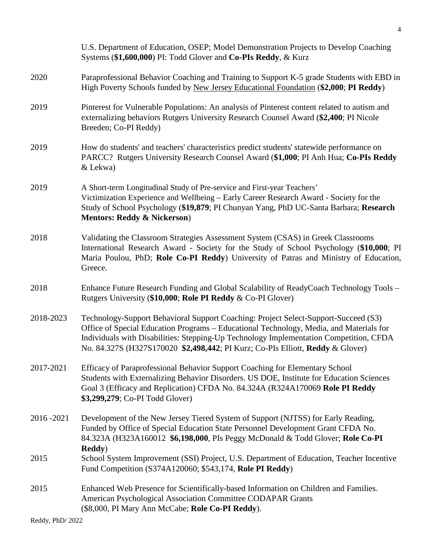|           | U.S. Department of Education, OSEP; Model Demonstration Projects to Develop Coaching<br>Systems (\$1,600,000) PI: Todd Glover and Co-PIs Reddy, & Kurz                                                                                                                                                                                                     |
|-----------|------------------------------------------------------------------------------------------------------------------------------------------------------------------------------------------------------------------------------------------------------------------------------------------------------------------------------------------------------------|
| 2020      | Paraprofessional Behavior Coaching and Training to Support K-5 grade Students with EBD in<br>High Poverty Schools funded by New Jersey Educational Foundation (\$2,000; PI Reddy)                                                                                                                                                                          |
| 2019      | Pinterest for Vulnerable Populations: An analysis of Pinterest content related to autism and<br>externalizing behaviors Rutgers University Research Counsel Award (\$2,400; PI Nicole<br>Breeden; Co-PI Reddy)                                                                                                                                             |
| 2019      | How do students' and teachers' characteristics predict students' statewide performance on<br>PARCC? Rutgers University Research Counsel Award (\$1,000; PI Anh Hua; Co-PIs Reddy<br>& Lekwa)                                                                                                                                                               |
| 2019      | A Short-term Longitudinal Study of Pre-service and First-year Teachers'<br>Victimization Experience and Wellbeing – Early Career Research Award - Society for the<br>Study of School Psychology (\$19,879; PI Chunyan Yang, PhD UC-Santa Barbara; Research<br><b>Mentors: Reddy &amp; Nickerson)</b>                                                       |
| 2018      | Validating the Classroom Strategies Assessment System (CSAS) in Greek Classrooms<br>International Research Award - Society for the Study of School Psychology (\$10,000; PI<br>Maria Poulou, PhD; Role Co-PI Reddy) University of Patras and Ministry of Education,<br>Greece.                                                                             |
| 2018      | Enhance Future Research Funding and Global Scalability of ReadyCoach Technology Tools -<br>Rutgers University (\$10,000; Role PI Reddy & Co-PI Glover)                                                                                                                                                                                                     |
| 2018-2023 | Technology-Support Behavioral Support Coaching: Project Select-Support-Succeed (S3)<br>Office of Special Education Programs - Educational Technology, Media, and Materials for<br>Individuals with Disabilities: Stepping-Up Technology Implementation Competition, CFDA<br>No. 84.327S (H327S170020 \$2,498,442; PI Kurz; Co-PIs Elliott, Reddy & Glover) |
| 2017-2021 | Efficacy of Paraprofessional Behavior Support Coaching for Elementary School<br>Students with Externalizing Behavior Disorders. US DOE, Institute for Education Sciences<br>Goal 3 (Efficacy and Replication) CFDA No. 84.324A (R324A170069 Role PI Reddy<br>\$3,299,279; Co-PI Todd Glover)                                                               |
| 2016-2021 | Development of the New Jersey Tiered System of Support (NJTSS) for Early Reading,<br>Funded by Office of Special Education State Personnel Development Grant CFDA No.<br>84.323A (H323A160012 \$6,198,000, PIs Peggy McDonald & Todd Glover; Role Co-PI<br><b>Reddy</b> )                                                                                  |
| 2015      | School System Improvement (SSI) Project, U.S. Department of Education, Teacher Incentive<br>Fund Competition (S374A120060; \$543,174, Role PI Reddy)                                                                                                                                                                                                       |
| 2015      | Enhanced Web Presence for Scientifically-based Information on Children and Families.<br>American Psychological Association Committee CODAPAR Grants<br>(\$8,000, PI Mary Ann McCabe; Role Co-PI Reddy).                                                                                                                                                    |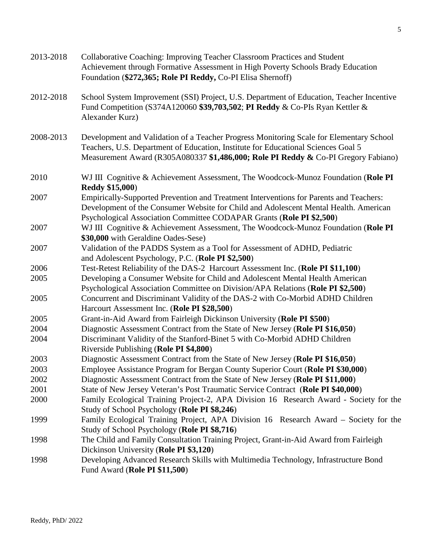| 2013-2018 | Collaborative Coaching: Improving Teacher Classroom Practices and Student<br>Achievement through Formative Assessment in High Poverty Schools Brady Education<br>Foundation (\$272,365; Role PI Reddy, Co-PI Elisa Shernoff)                                       |
|-----------|--------------------------------------------------------------------------------------------------------------------------------------------------------------------------------------------------------------------------------------------------------------------|
| 2012-2018 | School System Improvement (SSI) Project, U.S. Department of Education, Teacher Incentive<br>Fund Competition (S374A120060 \$39,703,502; PI Reddy & Co-PIs Ryan Kettler &<br>Alexander Kurz)                                                                        |
| 2008-2013 | Development and Validation of a Teacher Progress Monitoring Scale for Elementary School<br>Teachers, U.S. Department of Education, Institute for Educational Sciences Goal 5<br>Measurement Award (R305A080337 \$1,486,000; Role PI Reddy & Co-PI Gregory Fabiano) |
| 2010      | WJ III Cognitive & Achievement Assessment, The Woodcock-Munoz Foundation (Role PI<br><b>Reddy \$15,000)</b>                                                                                                                                                        |
| 2007      | Empirically-Supported Prevention and Treatment Interventions for Parents and Teachers:<br>Development of the Consumer Website for Child and Adolescent Mental Health. American<br>Psychological Association Committee CODAPAR Grants (Role PI \$2,500)             |
| 2007      | WJ III Cognitive & Achievement Assessment, The Woodcock-Munoz Foundation (Role PI<br>\$30,000 with Geraldine Oades-Sese)                                                                                                                                           |
| 2007      | Validation of the PADDS System as a Tool for Assessment of ADHD, Pediatric<br>and Adolescent Psychology, P.C. (Role PI \$2,500)                                                                                                                                    |
| 2006      | Test-Retest Reliability of the DAS-2 Harcourt Assessment Inc. (Role PI \$11,100)                                                                                                                                                                                   |
| 2005      | Developing a Consumer Website for Child and Adolescent Mental Health American                                                                                                                                                                                      |
|           | Psychological Association Committee on Division/APA Relations (Role PI \$2,500)                                                                                                                                                                                    |
| 2005      | Concurrent and Discriminant Validity of the DAS-2 with Co-Morbid ADHD Children<br>Harcourt Assessment Inc. (Role PI \$28,500)                                                                                                                                      |
| 2005      | Grant-in-Aid Award from Fairleigh Dickinson University (Role PI \$500)                                                                                                                                                                                             |
| 2004      | Diagnostic Assessment Contract from the State of New Jersey (Role PI \$16,050)                                                                                                                                                                                     |
| 2004      | Discriminant Validity of the Stanford-Binet 5 with Co-Morbid ADHD Children<br>Riverside Publishing (Role PI \$4,800)                                                                                                                                               |
| 2003      | Diagnostic Assessment Contract from the State of New Jersey (Role PI \$16,050)                                                                                                                                                                                     |
| 2003      | Employee Assistance Program for Bergan County Superior Court (Role PI \$30,000)                                                                                                                                                                                    |
| 2002      | Diagnostic Assessment Contract from the State of New Jersey (Role PI \$11,000)                                                                                                                                                                                     |
| 2001      | State of New Jersey Veteran's Post Traumatic Service Contract (Role PI \$40,000)                                                                                                                                                                                   |
| 2000      | Family Ecological Training Project-2, APA Division 16 Research Award - Society for the                                                                                                                                                                             |
|           | Study of School Psychology (Role PI \$8,246)                                                                                                                                                                                                                       |
| 1999      | Family Ecological Training Project, APA Division 16 Research Award – Society for the                                                                                                                                                                               |
|           | Study of School Psychology (Role PI \$8,716)                                                                                                                                                                                                                       |
| 1998      | The Child and Family Consultation Training Project, Grant-in-Aid Award from Fairleigh                                                                                                                                                                              |
|           | Dickinson University (Role PI \$3,120)                                                                                                                                                                                                                             |
| 1998      | Developing Advanced Research Skills with Multimedia Technology, Infrastructure Bond<br>Fund Award (Role PI \$11,500)                                                                                                                                               |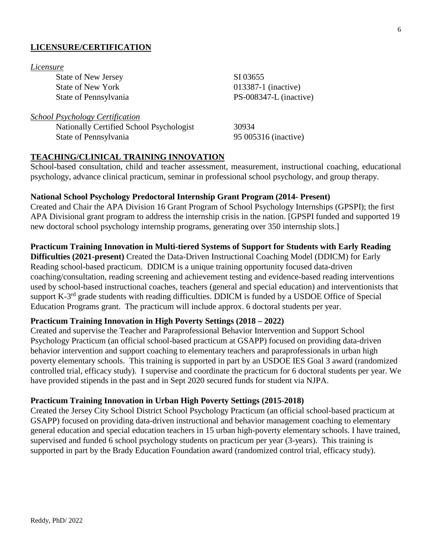### **LICENSURE/CERTIFICATION**

#### *Licensure*

State of New Jersey SI 03655 State of New York 013387-1 (inactive)

### *School Psychology Certification*

Nationally Certified School Psychologist 30934 State of Pennsylvania 95 005316 (inactive)

State of Pennsylvania PS-008347-L (inactive)

### **TEACHING/CLINICAL TRAINING INNOVATION**

School-based consultation, child and teacher assessment, measurement, instructional coaching, educational psychology, advance clinical practicum, seminar in professional school psychology, and group therapy.

### **National School Psychology Predoctoral Internship Grant Program (2014- Present)**

Created and Chair the APA Division 16 Grant Program of School Psychology Internships (GPSPI); the first APA Divisional grant program to address the internship crisis in the nation. [GPSPI funded and supported 19 new doctoral school psychology internship programs, generating over 350 internship slots.]

#### **Practicum Training Innovation in Multi-tiered Systems of Support for Students with Early Reading**

**Difficulties (2021-present)** Created the Data-Driven Instructional Coaching Model (DDICM) for Early Reading school-based practicum. DDICM is a unique training opportunity focused data-driven coaching/consultation, reading screening and achievement testing and evidence-based reading interventions used by school-based instructional coaches, teachers (general and special education) and interventionists that support K-3<sup>rd</sup> grade students with reading difficulties. DDICM is funded by a USDOE Office of Special Education Programs grant. The practicum will include approx. 6 doctoral students per year.

### **Practicum Training Innovation in High Poverty Settings (2018 – 2022)**

Created and supervise the Teacher and Paraprofessional Behavior Intervention and Support School Psychology Practicum (an official school-based practicum at GSAPP) focused on providing data-driven behavior intervention and support coaching to elementary teachers and paraprofessionals in urban high poverty elementary schools. This training is supported in part by an USDOE IES Goal 3 award (randomized controlled trial, efficacy study). I supervise and coordinate the practicum for 6 doctoral students per year. We have provided stipends in the past and in Sept 2020 secured funds for student via NJPA.

#### **Practicum Training Innovation in Urban High Poverty Settings (2015-2018)**

Created the Jersey City School District School Psychology Practicum (an official school-based practicum at GSAPP) focused on providing data-driven instructional and behavior management coaching to elementary general education and special education teachers in 15 urban high-poverty elementary schools. I have trained, supervised and funded 6 school psychology students on practicum per year (3-years). This training is supported in part by the Brady Education Foundation award (randomized control trial, efficacy study).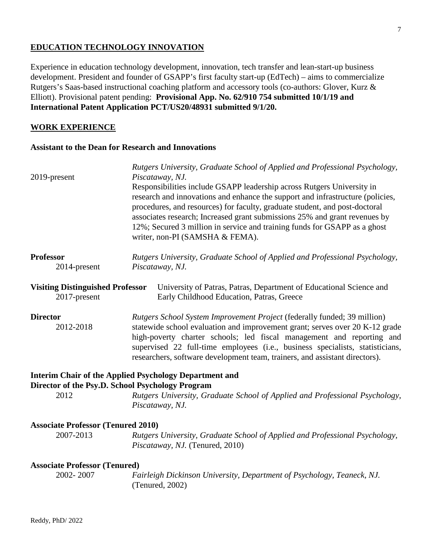### **EDUCATION TECHNOLOGY INNOVATION**

Experience in education technology development, innovation, tech transfer and lean-start-up business development. President and founder of GSAPP's first faculty start-up (EdTech) – aims to commercialize Rutgers's Saas-based instructional coaching platform and accessory tools (co-authors: Glover, Kurz & Elliott). Provisional patent pending: **Provisional App. No. 62/910 754 submitted 10/1/19 and International Patent Application PCT/US20/48931 submitted 9/1/20.** 

### **WORK EXPERIENCE**

#### **Assistant to the Dean for Research and Innovations**

|                                                  | Rutgers University, Graduate School of Applied and Professional Psychology,                                  |
|--------------------------------------------------|--------------------------------------------------------------------------------------------------------------|
| 2019-present                                     | Piscataway, NJ.                                                                                              |
|                                                  | Responsibilities include GSAPP leadership across Rutgers University in                                       |
|                                                  | research and innovations and enhance the support and infrastructure (policies,                               |
|                                                  | procedures, and resources) for faculty, graduate student, and post-doctoral                                  |
|                                                  | associates research; Increased grant submissions 25% and grant revenues by                                   |
|                                                  | 12%; Secured 3 million in service and training funds for GSAPP as a ghost<br>writer, non-PI (SAMSHA & FEMA). |
| <b>Professor</b>                                 | Rutgers University, Graduate School of Applied and Professional Psychology,                                  |
| 2014-present                                     | Piscataway, NJ.                                                                                              |
|                                                  |                                                                                                              |
| <b>Visiting Distinguished Professor</b>          | University of Patras, Patras, Department of Educational Science and                                          |
| 2017-present                                     | Early Childhood Education, Patras, Greece                                                                    |
| <b>Director</b>                                  | Rutgers School System Improvement Project (federally funded; 39 million)                                     |
| 2012-2018                                        | statewide school evaluation and improvement grant; serves over 20 K-12 grade                                 |
|                                                  | high-poverty charter schools; led fiscal management and reporting and                                        |
|                                                  | supervised 22 full-time employees (i.e., business specialists, statisticians,                                |
|                                                  | researchers, software development team, trainers, and assistant directors).                                  |
|                                                  | <b>Interim Chair of the Applied Psychology Department and</b>                                                |
| Director of the Psy.D. School Psychology Program |                                                                                                              |
| 2012                                             | Rutgers University, Graduate School of Applied and Professional Psychology,                                  |
|                                                  | Piscataway, NJ.                                                                                              |
| <b>Associate Professor (Tenured 2010)</b>        |                                                                                                              |
| 2007-2013                                        | Rutgers University, Graduate School of Applied and Professional Psychology,                                  |
|                                                  | Piscataway, NJ. (Tenured, 2010)                                                                              |
| <b>Associate Professor (Tenured)</b>             |                                                                                                              |
| 2002-2007                                        | Fairleigh Dickinson University, Department of Psychology, Teaneck, NJ.                                       |
|                                                  | (Tenured, 2002)                                                                                              |
|                                                  |                                                                                                              |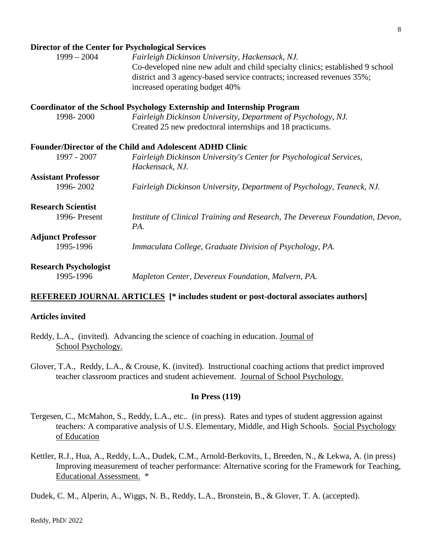#### **Director of the Center for Psychological Services**

| DIFECTOR OF THE CENTER TOF I SYCHOLOGICAL SET VICES |                                                                                                                                                                                                                                              |
|-----------------------------------------------------|----------------------------------------------------------------------------------------------------------------------------------------------------------------------------------------------------------------------------------------------|
| $1999 - 2004$                                       | Fairleigh Dickinson University, Hackensack, NJ.<br>Co-developed nine new adult and child specialty clinics; established 9 school<br>district and 3 agency-based service contracts; increased revenues 35%;<br>increased operating budget 40% |
|                                                     | <b>Coordinator of the School Psychology Externship and Internship Program</b>                                                                                                                                                                |
| 1998-2000                                           | Fairleigh Dickinson University, Department of Psychology, NJ.                                                                                                                                                                                |
|                                                     | Created 25 new predoctoral internships and 18 practicums.                                                                                                                                                                                    |
|                                                     | <b>Founder/Director of the Child and Adolescent ADHD Clinic</b>                                                                                                                                                                              |
| 1997 - 2007                                         | Fairleigh Dickinson University's Center for Psychological Services,                                                                                                                                                                          |
|                                                     | Hackensack, NJ.                                                                                                                                                                                                                              |
| <b>Assistant Professor</b>                          |                                                                                                                                                                                                                                              |
| 1996-2002                                           | Fairleigh Dickinson University, Department of Psychology, Teaneck, NJ.                                                                                                                                                                       |
| <b>Research Scientist</b>                           |                                                                                                                                                                                                                                              |
| 1996-Present                                        | Institute of Clinical Training and Research, The Devereux Foundation, Devon,<br>PA.                                                                                                                                                          |
| <b>Adjunct Professor</b>                            |                                                                                                                                                                                                                                              |
| 1995-1996                                           | Immaculata College, Graduate Division of Psychology, PA.                                                                                                                                                                                     |
| <b>Research Psychologist</b>                        |                                                                                                                                                                                                                                              |
| 1995-1996                                           | Mapleton Center, Devereux Foundation, Malvern, PA.                                                                                                                                                                                           |

### **REFEREED JOURNAL ARTICLES [\* includes student or post-doctoral associates authors]**

#### **Articles invited**

- Reddy, L.A., (invited). Advancing the science of coaching in education. Journal of School Psychology.
- Glover, T.A., Reddy, L.A., & Crouse, K. (invited). Instructional coaching actions that predict improved teacher classroom practices and student achievement. Journal of School Psychology.

#### **In Press (119)**

- Tergesen, C., McMahon, S., Reddy, L.A., etc.. (in press). Rates and types of student aggression against teachers: A comparative analysis of U.S. Elementary, Middle, and High Schools. Social Psychology of Education
- Kettler, R.J., Hua, A., Reddy, L.A., Dudek, C.M., Arnold-Berkovits, I., Breeden, N., & Lekwa, A. (in press) Improving measurement of teacher performance: Alternative scoring for the Framework for Teaching, Educational Assessment. \*

Dudek, C. M., Alperin, A., Wiggs, N. B., Reddy, L.A., Bronstein, B., & Glover, T. A. (accepted).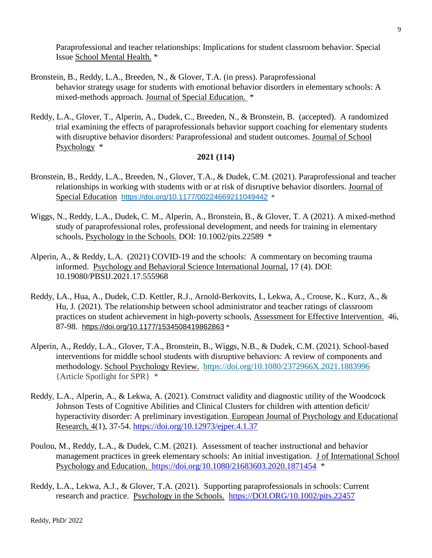Paraprofessional and teacher relationships: Implications for student classroom behavior. Special Issue School Mental Health. \*

- Bronstein, B., Reddy, L.A., Breeden, N., & Glover, T.A. (in press). Paraprofessional behavior strategy usage for students with emotional behavior disorders in elementary schools: A mixed-methods approach. Journal of Special Education. \*
- Reddy, L.A., Glover, T., Alperin, A., Dudek, C., Breeden, N., & Bronstein, B. (accepted). A randomized trial examining the effects of paraprofessionals behavior support coaching for elementary students with disruptive behavior disorders: Paraprofessional and student outcomes. Journal of School Psychology \*

#### **2021 (114)**

- Bronstein, B., Reddy, L.A., Breeden, N., Glover, T.A., & Dudek, C.M. (2021). Paraprofessional and teacher relationships in working with students with or at risk of disruptive behavior disorders. Journal of Special Education [https://doi.org/10.1177/00224669211049442](https://doi.org/10.1177%2F00224669211049442) \*
- Wiggs, N., Reddy, L.A., Dudek, C. M., Alperin, A., Bronstein, B., & Glover, T. A (2021). A mixed-method study of paraprofessional roles, professional development, and needs for training in elementary schools, Psychology in the Schools. DOI: 10.1002/pits.22589  $*$
- Alperin, A., & Reddy, L.A. (2021) COVID-19 and the schools: A commentary on becoming trauma informed. Psychology and Behavioral Science International Journal, 17 (4). DOI: 10.19080/PBSIJ.2021.17.555968
- Reddy, LA., Hua, A., Dudek, C.D. Kettler, R.J., Arnold-Berkovits, I., Lekwa, A., Crouse, K., Kurz, A., & Hu, J. (2021). The relationship between school administrator and teacher ratings of classroom practices on student achievement in high-poverty schools, Assessment for Effective Intervention. 46, 87-98. [https://doi.org/10.1177/1534508419862863](https://doi.org/10.1177%2F1534508419862863) \*
- Alperin, A., Reddy, L.A., Glover, T.A., Bronstein, B., Wiggs, N.B., & Dudek, C.M. (2021). School-based interventions for middle school students with disruptive behaviors: A review of components and methodology. School Psychology Review. <https://doi.org/10.1080/2372966X.2021.1883996> {Article Spotlight for SPR} \*
- Reddy, L.A., Alperin, A., & Lekwa, A. (2021). Construct validity and diagnostic utility of the Woodcock Johnson Tests of Cognitive Abilities and Clinical Clusters for children with attention deficit/ hyperactivity disorder: A preliminary investigation. European Journal of Psychology and Educational Research, 4(1), 37-54.<https://doi.org/10.12973/ejper.4.1.37>
- Poulou, M., Reddy, L.A., & Dudek, C.M. (2021). Assessment of teacher instructional and behavior management practices in greek elementary schools: An initial investigation. J of International School Psychology and Education. <https://doi.org/10.1080/21683603.2020.1871454> \*
- Reddy, L.A., Lekwa, A.J., & Glover, T.A. (2021). Supporting paraprofessionals in schools: Current research and practice. Psychology in the Schools. [https://DOI.ORG/10.1002/pits.22457](https://doi.org/10.1002/pits.22457)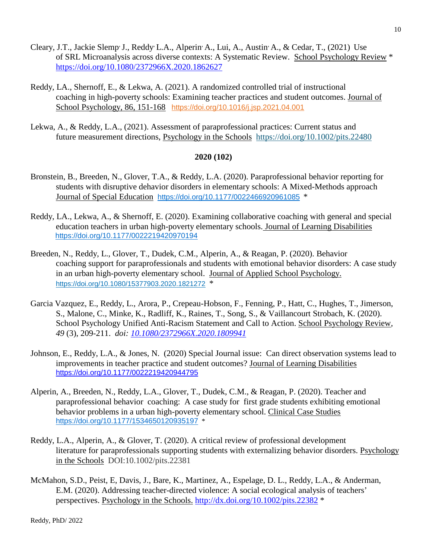- Cleary, J.T., Jackie Slemp, J., Reddy, L.A., Alperin, A., Lui, A., Austin, A., & Cedar, T., (2021) Use of SRL Microanalysis across diverse contexts: A Systematic Review. School Psychology Review \* <https://doi.org/10.1080/2372966X.2020.1862627>
- Reddy, LA., Shernoff, E., & Lekwa, A. (2021). A randomized controlled trial of instructional coaching in high-poverty schools: Examining teacher practices and student outcomes. Journal of School Psychology, 86, 151-168 <https://doi.org/10.1016/j.jsp.2021.04.001>
- Lekwa, A., & Reddy, L.A., (2021). Assessment of paraprofessional practices: Current status and future measurement directions, Psychology in the Schools <https://doi.org/10.1002/pits.22480>

### **2020 (102)**

- Bronstein, B., Breeden, N., Glover, T.A., & Reddy, L.A. (2020). Paraprofessional behavior reporting for students with disruptive dehavior disorders in elementary schools: A Mixed-Methods approach Journal of Special Education [https://doi.org/10.1177/0022466920961085](https://doi.org/10.1177%2F0022466920961085) \*
- Reddy, LA., Lekwa, A., & Shernoff, E. (2020). Examining collaborative coaching with general and special education teachers in urban high-poverty elementary schools. Journal of Learning Disabilities [https://doi.org/10.1177/0022219420970194](https://doi.org/10.1177%2F0022219420970194)
- Breeden, N., Reddy, L., Glover, T., Dudek, C.M., Alperin, A., & Reagan, P. (2020). Behavior coaching support for paraprofessionals and students with emotional behavior disorders: A case study in an urban high-poverty elementary school. Journal of Applied School Psychology. <https://doi.org/10.1080/15377903.2020.1821272>\*
- Garcia Vazquez, E., Reddy, L., Arora, P., Crepeau-Hobson, F., Fenning, P., Hatt, C., Hughes, T., Jimerson, S., Malone, C., Minke, K., Radliff, K., Raines, T., Song, S., & Vaillancourt Strobach, K. (2020). School Psychology Unified Anti-Racism Statement and Call to Action. School Psychology Review*, 49* (3), 209-211. *doi: [10.1080/2372966X.2020.1809941](https://nam02.safelinks.protection.outlook.com/?url=https%3A%2F%2Fwww.tandfonline.com%2Fdoi%2Ffull%2F10.1080%2F2372966X.2020.1809941&data=02%7C01%7Clreddy%40GSAPP.RUTGERS.EDU%7Cb0877d99ee804304d62908d84f316250%7Cb92d2b234d35447093ff69aca6632ffe%7C1%7C0%7C637346420819062492&sdata=S9BV9kEF04nvGTImUuBaiY18YpUmUiZgezDmGg6sXy8%3D&reserved=0)*
- Johnson, E., Reddy, L.A., & Jones, N. (2020) Special Journal issue: Can direct observation systems lead to improvements in teacher practice and student outcomes? Journal of Learning Disabilities <https://doi.org/10.1177/0022219420944795>
- Alperin, A., Breeden, N., Reddy, L.A., Glover, T., Dudek, C.M., & Reagan, P. (2020). Teacher and paraprofessional behavior coaching: A case study for first grade students exhibiting emotional behavior problems in a urban high-poverty elementary school. Clinical Case Studies [https://doi.org/10.1177/1534650120935197](https://doi.org/10.1177%2F1534650120935197) \*
- Reddy, L.A., Alperin, A., & Glover, T. (2020). A critical review of professional development literature for paraprofessionals supporting students with externalizing behavior disorders. Psychology in the Schools DOI:10.1002/pits.22381
- McMahon, S.D., Peist, E, Davis, J., Bare, K., Martinez, A., Espelage, D. L., Reddy, L.A., & Anderman, E.M. (2020). Addressing teacher-directed violence: A social ecological analysis of teachers' perspectives. Psychology in the Schools. <http://dx.doi.org/10.1002/pits.22382> \*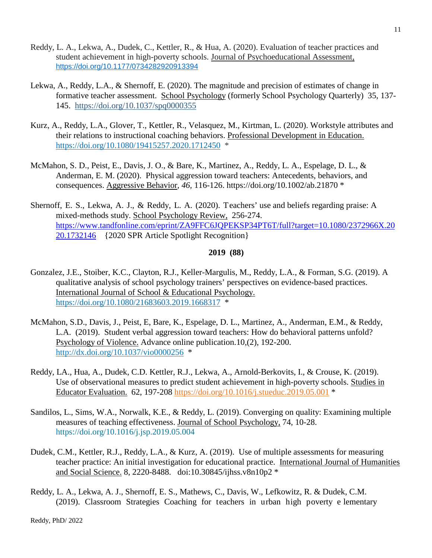- Reddy, L. A., Lekwa, A., Dudek, C., Kettler, R., & Hua, A. (2020). Evaluation of teacher practices and student achievement in high-poverty schools. Journal of Psychoeducational Assessment, [https://doi.org/10.1177/0734282920913394](https://doi.org/10.1177%2F0734282920913394)
- Lekwa, A., Reddy, L.A., & Shernoff, E. (2020). The magnitude and precision of estimates of change in formative teacher assessment. School Psychology (formerly School Psychology Quarterly) 35, 137- 145. [https://doi.org/10.1037/spq0000355](https://psycnet.apa.org/doi/10.1037/spq0000355)
- Kurz, A., Reddy, L.A., Glover, T., Kettler, R., Velasquez, M., Kirtman, L. (2020). Workstyle attributes and their relations to instructional coaching behaviors. Professional Development in Education. <https://doi.org/10.1080/19415257.2020.1712450>\*
- McMahon, S. D., Peist, E., Davis, J. O., & Bare, K., Martinez, A., Reddy, L. A., Espelage, D. L., & Anderman, E. M. (2020). Physical aggression toward teachers: Antecedents, behaviors, and consequences. Aggressive Behavior*, 46,* 116-126.<https://doi.org/10.1002/ab.21870> \*
- Shernoff, E. S., Lekwa, A. J., & Reddy, L. A. (2020). Teachers' use and beliefs regarding praise: A mixed-methods study. School Psychology Review, 256-274. [https://www.tandfonline.com/eprint/ZA9FFC6JQPEKSP34PT6T/full?target=10.1080/2372966X.20](https://www.tandfonline.com/eprint/ZA9FFC6JQPEKSP34PT6T/full?target=10.1080/2372966X.2020.1732146) [20.1732146](https://www.tandfonline.com/eprint/ZA9FFC6JQPEKSP34PT6T/full?target=10.1080/2372966X.2020.1732146) {2020 SPR Article Spotlight Recognition}

#### **2019 (88)**

- Gonzalez, J.E., Stoiber, K.C., Clayton, R.J., Keller-Margulis, M., Reddy, L.A., & Forman, S.G. (2019). A qualitative analysis of school psychology trainers' perspectives on evidence-based practices. International Journal of School & Educational Psychology. <https://doi.org/10.1080/21683603.2019.1668317>\*
- McMahon, S.D., Davis, J., Peist, E, Bare, K., Espelage, D. L., Martinez, A., Anderman, E.M., & Reddy, L.A. (2019). Student verbal aggression toward teachers: How do behavioral patterns unfold? Psychology of Violence. Advance online publication.10,(2), 192-200. [http://dx.doi.org/10.1037/vio0000256](https://nam02.safelinks.protection.outlook.com/?url=https%3A%2F%2Fpsycnet.apa.org%2Fdoi%2F10.1037%2Fvio0000256&data=02%7C01%7Clreddy%40gsapp.rutgers.edu%7Cc1f3abbf92164ae4915e08d733233ce9%7Cb92d2b234d35447093ff69aca6632ffe%7C1%7C0%7C637034099372547085&sdata=OKC%2Bq4U3eV9nLch44sMnLhs%2BgUTKDmrEdnSjosKNlsM%3D&reserved=0) \*
- Reddy, LA., Hua, A., Dudek, C.D. Kettler, R.J., Lekwa, A., Arnold-Berkovits, I., & Crouse, K. (2019). Use of observational measures to predict student achievement in high-poverty schools. Studies in Educator Evaluation. 62, 197-208 <https://doi.org/10.1016/j.stueduc.2019.05.001> \*
- Sandilos, L., Sims, W.A., Norwalk, K.E., & Reddy, L. (2019). Converging on quality: Examining multiple measures of teaching effectiveness. Journal of School Psychology, 74, 10-28. <https://doi.org/10.1016/j.jsp.2019.05.004>
- Dudek, C.M., Kettler, R.J., Reddy, L.A., & Kurz, A. (2019). Use of multiple assessments for measuring teacher practice: An initial investigation for educational practice. International Journal of Humanities and Social Science. 8, 2220-8488. doi:10.30845/ijhss.v8n10p2 \*
- Reddy, L. A., Lekwa, A. J., Shernoff, E. S., Mathews, C., Davis, W., Lefkowitz, R. & Dudek, C.M. (2019). Classroom Strategies Coaching for teachers in urban high poverty e lementary

Reddy, PhD/ 2022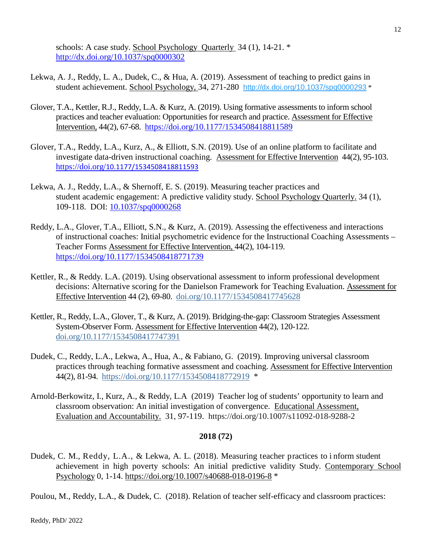schools: A case study. School Psychology Quarterly 34 (1), 14-21. \* [http://dx.doi.org/10.1037/spq0000302](http://psycnet.apa.org/doi/10.1037/spq0000302)

- Lekwa, A. J., Reddy, L. A., Dudek, C., & Hua, A. (2019). Assessment of teaching to predict gains in student achievement. School Psychology, 34, 271-280 [http://dx.doi.org/10.1037/spq0000293](https://psycnet.apa.org/doi/10.1037/spq0000293) \*
- Glover, T.A., Kettler, R.J., Reddy, L.A. & Kurz, A. (2019). Using formative assessments to inform school practices and teacher evaluation: Opportunities for research and practice. Assessment for Effective Intervention, 44(2), 67-68. [https://doi.org/10.1177/1534508418811589](https://doi.org/10.1177%2F1534508418811589)
- Glover, T.A., Reddy, L.A., Kurz, A., & Elliott, S.N. (2019). Use of an online platform to facilitate and investigate data-driven instructional coaching. Assessment for Effective Intervention 44(2), 95-103. https://doi.org/[10.1177/1534508418811593](https://doi.org/10.1177/1534508418811593)
- Lekwa, A. J., Reddy, L.A., & Shernoff, E. S. (2019). Measuring teacher practices and student academic engagement: A predictive validity study. School Psychology Quarterly. 34 (1), 109-118. DOI: [10.1037/spq0000268](https://doi.org/10.1037/spq0000268)
- Reddy, L.A., Glover, T.A., Elliott, S.N., & Kurz, A. (2019). Assessing the effectiveness and interactions of instructional coaches: Initial psychometric evidence for the Instructional Coaching Assessments – Teacher Forms Assessment for Effective Intervention, 44(2), 104-119. [https://doi.org/10.1177/1534508418771739](https://doi.org/10.1177%2F1534508418771739)
- Kettler, R., & Reddy. L.A. (2019). Using observational assessment to inform professional development decisions: Alternative scoring for the Danielson Framework for Teaching Evaluation. Assessment for Effective Intervention 44 (2), 69-80. [doi.org/10.1177/1534508417745628](https://doi.org/10.1177/1534508417745628)
- Kettler, R., Reddy, L.A., Glover, T., & Kurz, A. (2019). Bridging-the-gap: Classroom Strategies Assessment System-Observer Form. Assessment for Effective Intervention 44(2), 120-122. [doi.org/10.1177/1534508417747391](https://doi.org/10.1177/1534508417747391)
- Dudek, C., Reddy, L.A., Lekwa, A., Hua, A., & Fabiano, G. (2019). Improving universal classroom practices through teaching formative assessment and coaching. Assessment for Effective Intervention 44(2), 81-94. <https://doi.org/10.1177/1534508418772919>\*
- Arnold-Berkowitz, I., Kurz, A., & Reddy, L.A (2019) Teacher log of students' opportunity to learn and classroom observation: An initial investigation of convergence. Educational Assessment, Evaluation and Accountability. 31, 97-119. https://doi.org/10.1007/s11092-018-9288-2

### **2018 (72)**

Dudek, C. M., Reddy, L.A., & Lekwa, A. L. (2018). Measuring teacher practices to i nform student achievement in high poverty schools: An initial predictive validity Study. Contemporary School Psychology 0, 1-14.<https://doi.org/10.1007/s40688-018-0196-8> \*

Poulou, M., Reddy, L.A., & Dudek, C. (2018). Relation of teacher self-efficacy and classroom practices: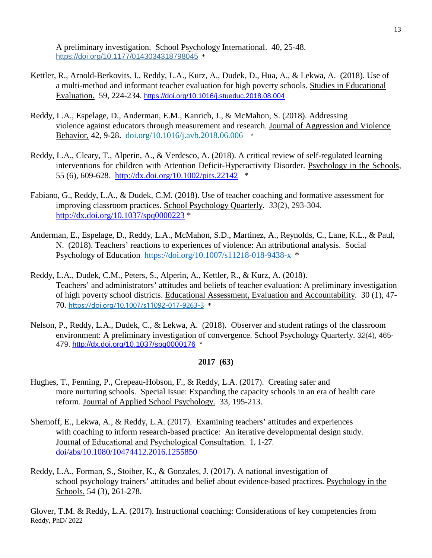A preliminary investigation. School Psychology International. 40, 25-48. [https://doi.org/10.1177/0143034318798045](https://doi.org/10.1177%2F0143034318798045) \*

- Kettler, R., Arnold-Berkovits, I., Reddy, L.A., Kurz, A., Dudek, D., Hua, A., & Lekwa, A. (2018). Use of a multi-method and informant teacher evaluation for high poverty schools. Studies in Educational Evaluation. 59, 224-234. <https://doi.org/10.1016/j.stueduc.2018.08.004>
- Reddy, L.A., Espelage, D., Anderman, E.M., Kanrich, J., & McMahon, S. (2018). Addressing violence against educators through measurement and research. Journal of Aggression and Violence Behavior, 42, 9-28[. doi.org/10.1016/j.avb.2018.06.006](https://doi.org/10.1016/j.avb.2018.06.006) \*
- Reddy, L.A., Cleary, T., Alperin, A., & Verdesco, A. (2018). A critical review of self-regulated learning interventions for children with Attention Deficit-Hyperactivity Disorder. Psychology in the Schools, 55 (6), 609-628. <http://dx.doi.org/10.1002/pits.22142>\*
- Fabiano, G., Reddy, L.A., & Dudek, C.M. (2018). Use of teacher coaching and formative assessment for improving classroom practices. School Psychology Quarterly. *33*(2), 293-304. [http://dx.doi.org/10.1037/spq0000223](http://psycnet.apa.org/doi/10.1037/spq0000223) \*
- Anderman, E., Espelage, D., Reddy, L.A., McMahon, S.D., Martinez, A., Reynolds, C., Lane, K.L., & Paul, N. (2018). Teachers' reactions to experiences of violence: An attributional analysis. Social Psychology of Education <https://doi.org/10.1007/s11218-018-9438-x>\*
- Reddy, L.A., Dudek, C.M., Peters, S., Alperin, A., Kettler, R., & Kurz, A. (2018). Teachers' and administrators' attitudes and beliefs of teacher evaluation: A preliminary investigation of high poverty school districts. Educational Assessment, Evaluation and Accountability. 30 (1), 47- 70. <https://doi.org/10.1007/s11092-017-9263-3> \*
- Nelson, P., Reddy, L.A., Dudek, C., & Lekwa, A. (2018). Observer and student ratings of the classroom environment: A preliminary investigation of convergence. School Psychology Quarterly. *32*(4), 465- 479. [http://dx.doi.org/10.1037/spq0000176](http://psycnet.apa.org/doi/10.1037/spq0000176) \*

#### **2017 (63)**

- Hughes, T., Fenning, P., Crepeau-Hobson, F., & Reddy, L.A. (2017). Creating safer and more nurturing schools. Special Issue: Expanding the capacity schools in an era of health care reform. Journal of Applied School Psychology. 33, 195-213.
- Shernoff, E., Lekwa, A., & Reddy, L.A. (2017). Examining teachers' attitudes and experiences with coaching to inform research-based practice: An iterative developmental design study. Journal of Educational and Psychological Consultation. 1, 1-27. [doi/abs/10.1080/10474412.2016.1255850](https://www.tandfonline.com/doi/abs/10.1080/10474412.2016.1255850)
- Reddy, L.A., Forman, S., Stoiber, K., & Gonzales, J. (2017). A national investigation of school psychology trainers' attitudes and belief about evidence-based practices. Psychology in the Schools. 54 (3), 261-278.

Reddy, PhD/ 2022 Glover, T.M. & Reddy, L.A. (2017). Instructional coaching: Considerations of key competencies from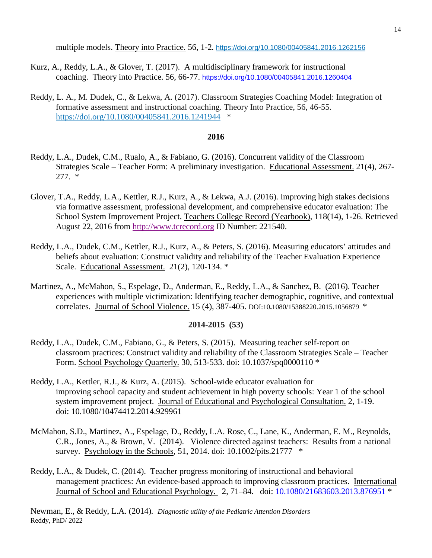multiple models. Theory into Practice. 56, 1-2*.* <https://doi.org/10.1080/00405841.2016.1262156>

- Kurz, A., Reddy, L.A., & Glover, T. (2017). A multidisciplinary framework for instructional coaching. Theory into Practice. 56, 66-77. <https://doi.org/10.1080/00405841.2016.1260404>
- Reddy, L. A., M. Dudek, C., & Lekwa, A. (2017). Classroom Strategies Coaching Model: Integration of formative assessment and instructional coaching. Theory Into Practice, 56, 46-55. <https://doi.org/10.1080/00405841.2016.1241944>\*

### **2016**

- Reddy, L.A., Dudek, C.M., Rualo, A., & Fabiano, G. (2016). Concurrent validity of the Classroom Strategies Scale – Teacher Form: A preliminary investigation. Educational Assessment. 21(4), 267- 277. \*
- Glover, T.A., Reddy, L.A., Kettler, R.J., Kurz, A., & Lekwa, A.J. (2016). Improving high stakes decisions via formative assessment, professional development, and comprehensive educator evaluation: The School System Improvement Project. Teachers College Record (Yearbook)*,* 118(14), 1-26. Retrieved August 22, 2016 from [http://www.tcrecord.org](http://www.tcrecord.org/) ID Number: 221540.
- Reddy, L.A., Dudek, C.M., Kettler, R.J., Kurz, A., & Peters, S. (2016). Measuring educators' attitudes and beliefs about evaluation: Construct validity and reliability of the Teacher Evaluation Experience Scale. Educational Assessment. 21(2), 120-134. \*
- Martinez, A., McMahon, S., Espelage, D., Anderman, E., Reddy, L.A., & Sanchez, B. (2016). Teacher experiences with multiple victimization: Identifying teacher demographic, cognitive, and contextual correlates. Journal of School Violence. 15 (4), 387-405. DOI:10**.**1080/15388220.2015.1056879 \*

#### **2014-2015 (53)**

- Reddy, L.A., Dudek, C.M., Fabiano, G., & Peters, S. (2015). Measuring teacher self-report on classroom practices: Construct validity and reliability of the Classroom Strategies Scale – Teacher Form. School Psychology Quarterly. 30, 513-533. doi: 10.1037/spq0000110 \*
- Reddy, L.A., Kettler, R.J., & Kurz, A. (2015). School-wide educator evaluation for improving school capacity and student achievement in high poverty schools: Year 1 of the school system improvement project. Journal of Educational and Psychological Consultation. 2, 1-19. doi: 10.1080/10474412.2014.929961
- McMahon, S.D., Martinez, A., Espelage, D., Reddy, L.A. Rose, C., Lane, K., Anderman, E. M., Reynolds, C.R., Jones, A., & Brown, V. (2014). Violence directed against teachers: Results from a national survey. Psychology in the Schools*,* 51, 2014. doi: 10.1002/pits.21777 \*
- Reddy, L.A., & Dudek, C. (2014). Teacher progress monitoring of instructional and behavioral management practices: An evidence-based approach to improving classroom practices. International Journal of School and Educational Psychology. 2, 71–84. doi: 10.1080/21683603.2013.876951 \*

Reddy, PhD/ 2022 Newman, E., & Reddy, L.A. (2014)*. Diagnostic utility of the Pediatric Attention Disorders*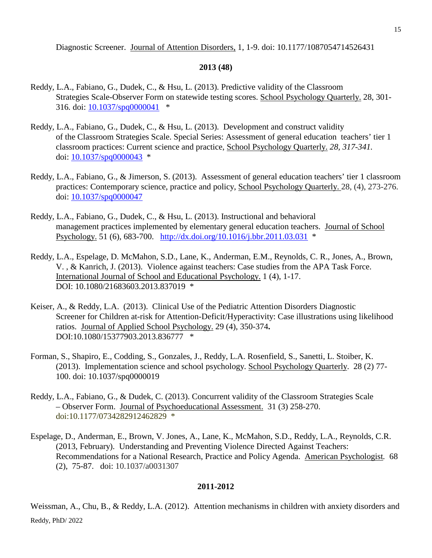Diagnostic Screener. Journal of Attention Disorders, 1, 1-9. doi: 10.1177/1087054714526431

### **2013 (48)**

- Reddy, L.A., Fabiano, G., Dudek, C., & Hsu, L. (2013). Predictive validity of the Classroom Strategies Scale-Observer Form on statewide testing scores. School Psychology Quarterly. 28, 301- 316*.* doi: [10.1037/spq0000041](http://psycnet.apa.org/doi/10.1037/spq0000041) \*
- Reddy, L.A., Fabiano, G., Dudek, C., & Hsu, L. (2013). Development and construct validity of the Classroom Strategies Scale. Special Series: Assessment of general education teachers' tier 1 classroom practices: Current science and practice, School Psychology Quarterly. *28, 317-341.*  doi: [10.1037/spq0000043](http://psycnet.apa.org/doi/10.1037/spq0000043) \*
- Reddy, L.A., Fabiano, G., & Jimerson, S. (2013). Assessment of general education teachers' tier 1 classroom practices: Contemporary science, practice and policy, School Psychology Quarterly. 28, (4), 273-276. doi: [10.1037/spq0000047](http://psycnet.apa.org/doi/10.1037/spq0000047)
- Reddy, L.A., Fabiano, G., Dudek, C., & Hsu, L. (2013). Instructional and behavioral management practices implemented by elementary general education teachers. Journal of School Psychology. 51 (6), 683-700. <http://dx.doi.org/10.1016/j.bbr.2011.03.031>\*
- Reddy, L.A., Espelage, D. McMahon, S.D., Lane, K., Anderman, E.M., Reynolds, C. R., Jones, A., Brown, V. , & Kanrich, J. (2013). Violence against teachers: Case studies from the APA Task Force. International Journal of School and Educational Psychology. 1 (4), 1-17. DOI: 10.1080/21683603.2013.837019 \*
- Keiser, A., & Reddy, L.A. (2013). Clinical Use of the Pediatric Attention Disorders Diagnostic Screener for Children at-risk for Attention-Deficit/Hyperactivity: Case illustrations using likelihood ratios. Journal of Applied School Psychology. 29 (4), 350-374**.**  DOI:10.1080/15377903.2013.836777 \*
- Forman, S., Shapiro, E., Codding, S., Gonzales, J., Reddy, L.A. Rosenfield, S., Sanetti, L. Stoiber, K. (2013). Implementation science and school psychology. School Psychology Quarterly. 28 (2) 77- 100. doi: 10.1037/spq0000019
- Reddy, L.A., Fabiano, G., & Dudek, C. (2013). Concurrent validity of the Classroom Strategies Scale – Observer Form. Journal of Psychoeducational Assessment. 31 (3) 258-270. doi:10.1177/0734282912462829 \*
- Espelage, D., Anderman, E., Brown, V. Jones, A., Lane, K., McMahon, S.D., Reddy, L.A., Reynolds, C.R. (2013, February). Understanding and Preventing Violence Directed Against Teachers: Recommendations for a National Research, Practice and Policy Agenda. American Psychologist*.* 68 (2), 75-87. doi: 10.1037/a0031307

# **2011-2012**

Reddy, PhD/ 2022 Weissman, A., Chu, B., & Reddy, L.A. (2012). Attention mechanisms in children with anxiety disorders and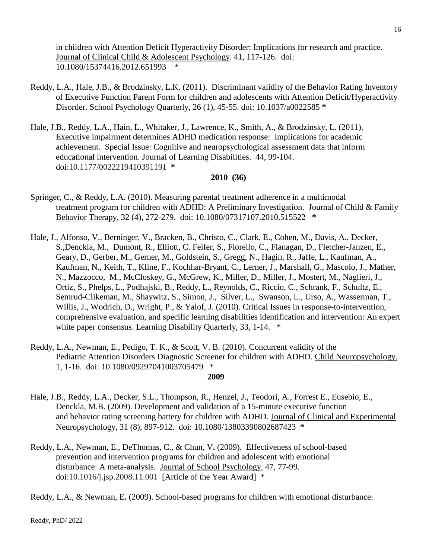in children with Attention Deficit Hyperactivity Disorder: Implications for research and practice. Journal of Clinical Child & Adolescent Psychology. 41, 117-126. doi: 10.1080/15374416.2012.651993 \*

- Reddy, L.A., Hale, J.B., & Brodzinsky, L.K. (2011). Discriminant validity of the Behavior Rating Inventory of Executive Function Parent Form for children and adolescents with Attention Deficit/Hyperactivity Disorder. School Psychology Quarterly, 26 (1), 45-55. doi: 10.1037/a0022585 **\***
- Hale, J.B., Reddy, L.A., Hain, L., Whitaker, J., Lawrence, K., Smith, A., & Brodzinsky, L. (2011). Executive impairment determines ADHD medication response: Implications for academic achievement. Special Issue: Cognitive and neuropsychological assessment data that inform educational intervention. Journal of Learning Disabilities. 44, 99-104. doi:10.1177/0022219410391191 **\***

### **2010 (36)**

- Springer, C., & Reddy, L.A. (2010). Measuring parental treatment adherence in a multimodal treatment program for children with ADHD: A Preliminary Investigation. Journal of Child & Family Behavior Therapy, 32 (4), 272-279. doi: 10.1080/07317107.2010.515522 **\***
- Hale, J., Alfonso, V., Berninger, V., Bracken, B., Christo, C., Clark, E., Cohen, M., Davis, A., Decker, S.,Denckla, M., Dumont, R., Elliott, C. Feifer, S., Fiorello, C., Flanagan, D., Fletcher-Janzen, E., Geary, D., Gerber, M., Gerner, M., Goldstein, S., Gregg, N., Hagin, R., Jaffe, L., Kaufman, A., Kaufman, N., Keith, T., Kline, F., Kochhar-Bryant, C., Lerner, J., Marshall, G., Mascolo, J., Mather, N., Mazzocco, M., McCloskey, G., McGrew, K., Miller, D., Miller, J., Mostert, M., Naglieri, J., Ortiz, S., Phelps, L., Podhajski, B., Reddy, L., Reynolds, C., Riccio, C., Schrank, F., Schultz, E., Semrud-Clikeman, M., Shaywitz, S., Simon, J., Silver, L., Swanson, L., Urso, A., Wasserman, T., Willis, J., Wodrich, D., Wright, P., & Yalof, J. (2010). Critical Issues in response-to-intervention, comprehensive evaluation, and specific learning disabilities identification and intervention: An expert white paper consensus. Learning Disability Quarterly, 33, 1-14.  $*$
- Reddy, L.A., Newman, E., Pedigo, T. K., & Scott, V. B. (2010). Concurrent validity of the Pediatric Attention Disorders Diagnostic Screener for children with ADHD. Child Neuropsychology. 1, 1-16. doi: 10.1080/09297041003705479 \*

#### **2009**

- Hale, J.B., Reddy, L.A., Decker, S.L., Thompson, R., Henzel, J., Teodori, A., Forrest E., Eusebio, E., Denckla, M.B. (2009). Development and validation of a 15-minute executive function and behavior rating screening battery for children with ADHD. Journal of Clinical and Experimental Neuropsychology, 31 (8), 897-912. doi: 10.1080/13803390802687423 **\***
- Reddy, L.A., Newman, E., DeThomas, C., & Chun, V**.** (2009). Effectiveness of school-based prevention and intervention programs for children and adolescent with emotional disturbance: A meta-analysis. Journal of School Psychology. 47, 77-99. doi:10.1016/j.jsp.2008.11.001 [Article of the Year Award] \*

Reddy, L.A., & Newman, E**.** (2009). School-based programs for children with emotional disturbance: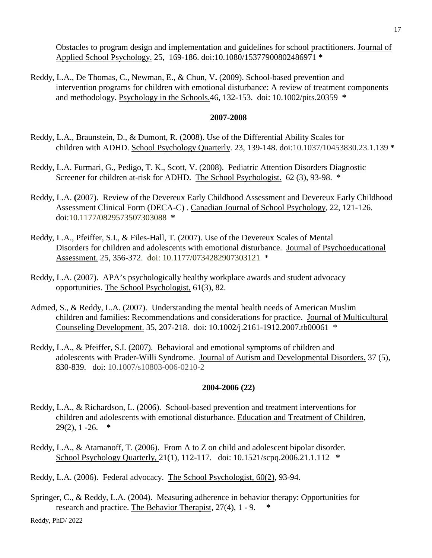Obstacles to program design and implementation and guidelines for school practitioners. Journal of Applied School Psychology. 25, 169-186. doi:10.1080/15377900802486971 **\***

Reddy, L.A., De Thomas, C., Newman, E., & Chun, V**.** (2009). School-based prevention and intervention programs for children with emotional disturbance: A review of treatment components and methodology. Psychology in the Schools.46, 132-153. doi: 10.1002/pits.20359 **\***

#### **2007-2008**

- Reddy, L.A., Braunstein, D., & Dumont, R. (2008). Use of the Differential Ability Scales for children with ADHD. School Psychology Quarterly. 23, 139-148. doi:10.1037/10453830.23.1.139 **\***
- Reddy, L.A. Furmari, G., Pedigo, T. K., Scott, V. (2008). Pediatric Attention Disorders Diagnostic Screener for children at-risk for ADHD. The School Psychologist. 62 (3), 93-98. \*
- Reddy, L.A. **(**2007). Review of the Devereux Early Childhood Assessment and Devereux Early Childhood Assessment Clinical Form (DECA-C) . Canadian Journal of School Psychology, 22, 121-126. doi:10.1177/0829573507303088 **\***
- Reddy, L.A., Pfeiffer, S.I., & Files-Hall, T. (2007). Use of the Devereux Scales of Mental Disorders for children and adolescents with emotional disturbance. Journal of Psychoeducational Assessment. 25, 356-372. doi: 10.1177/0734282907303121 \*
- Reddy, L.A. (2007). APA's psychologically healthy workplace awards and student advocacy opportunities. The School Psychologist, 61(3), 82.
- Admed, S., & Reddy, L.A. (2007). Understanding the mental health needs of American Muslim children and families: Recommendations and considerations for practice. Journal of Multicultural Counseling Development. 35, 207-218. doi: 10.1002/j.2161-1912.2007.tb00061 \*
- Reddy, L.A., & Pfeiffer, S.I. (2007). Behavioral and emotional symptoms of children and adolescents with Prader-Willi Syndrome. Journal of Autism and Developmental Disorders. 37 (5), 830-839. doi: 10.1007/s10803-006-0210-2

#### **2004-2006 (22)**

- Reddy, L.A., & Richardson, L. (2006). School-based prevention and treatment interventions for children and adolescents with emotional disturbance. Education and Treatment of Children, 29(2), 1 -26. **\***
- Reddy, L.A., & Atamanoff, T. (2006). From A to Z on child and adolescent bipolar disorder. School Psychology Quarterly, 21(1), 112-117. doi: 10.1521/scpq.2006.21.1.112 **\***

Reddy, L.A. (2006). Federal advocacy. The School Psychologist, 60(2), 93-94.

Springer, C., & Reddy, L.A. (2004). Measuring adherence in behavior therapy: Opportunities for research and practice. The Behavior Therapist, 27(4), 1 - 9. **\***

Reddy, PhD/ 2022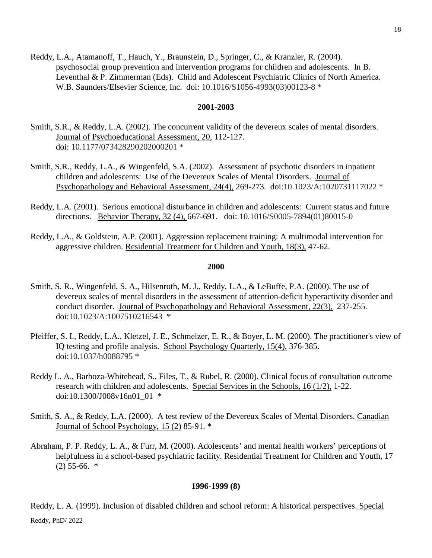Reddy, L.A., Atamanoff, T., Hauch, Y., Braunstein, D., Springer, C., & Kranzler, R. (2004). psychosocial group prevention and intervention programs for children and adolescents. In B. Leventhal & P. Zimmerman (Eds). Child and Adolescent Psychiatric Clinics of North America. W.B. Saunders/Elsevier Science, Inc. doi: 10.1016/S1056-4993(03)00123-8 \*

#### **2001-2003**

- Smith, S.R., & Reddy, L.A. (2002). The concurrent validity of the devereux scales of mental disorders. Journal of Psychoeducational Assessment, 20, 112-127. doi: 10.1177/073428290202000201 \*
- Smith, S.R., Reddy, L.A., & Wingenfeld, S.A. (2002). Assessment of psychotic disorders in inpatient children and adolescents: Use of the Devereux Scales of Mental Disorders. Journal of Psychopathology and Behavioral Assessment, 24(4), 269-273. doi:10.1023/A:1020731117022 \*
- Reddy, L.A. (2001). Serious emotional disturbance in children and adolescents: Current status and future directions. Behavior Therapy, 32 (4), 667-691. doi: 10.1016/S0005-7894(01)80015-0
- Reddy, L.A., & Goldstein, A.P. (2001). Aggression replacement training: A multimodal intervention for aggressive children. Residential Treatment for Children and Youth, 18(3), 47-62.

#### **2000**

- Smith, S. R., Wingenfeld, S. A., Hilsenroth, M. J., Reddy, L.A., & LeBuffe, P.A. (2000). The use of devereux scales of mental disorders in the assessment of attention-deficit hyperactivity disorder and conduct disorder. Journal of Psychopathology and Behavioral Assessment, 22(3), 237-255. doi:10.1023/A:1007510216543 \*
- Pfeiffer, S. I., Reddy, L.A., Kletzel, J. E., Schmelzer, E. R., & Boyer, L. M. (2000). The practitioner's view of IQ testing and profile analysis. School Psychology Quarterly, 15(4), 376-385. doi:10.1037/h0088795 \*
- Reddy L. A., Barboza-Whitehead, S., Files, T., & Rubel, R. (2000). Clinical focus of consultation outcome research with children and adolescents. Special Services in the Schools, 16 (1/2), 1-22. doi:10.1300/J008v16n01\_01 \*
- Smith, S. A., & Reddy, L.A. (2000). A test review of the Devereux Scales of Mental Disorders. Canadian Journal of School Psychology, 15 (2) 85-91. \*
- Abraham, P. P. Reddy, L. A., & Furr, M. (2000). Adolescents' and mental health workers' perceptions of helpfulness in a school-based psychiatric facility. Residential Treatment for Children and Youth, 17  $(2)$  55-66.  $*$

#### **1996-1999 (8)**

Reddy, PhD/ 2022 Reddy, L. A. (1999). Inclusion of disabled children and school reform: A historical perspectives. Special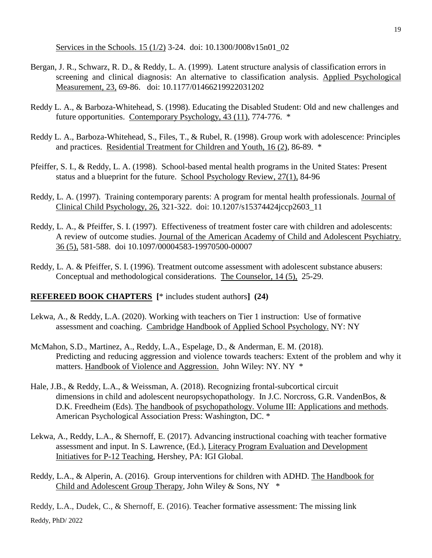Services in the Schools. 15 (1/2) 3-24. doi: 10.1300/J008v15n01\_02

- Bergan, J. R., Schwarz, R. D., & Reddy, L. A. (1999). Latent structure analysis of classification errors in screening and clinical diagnosis: An alternative to classification analysis. Applied Psychological Measurement, 23, 69-86. doi: 10.1177/01466219922031202
- Reddy L. A., & Barboza-Whitehead, S. (1998). Educating the Disabled Student: Old and new challenges and future opportunities. Contemporary Psychology, 43 (11), 774-776. \*
- Reddy L. A., Barboza-Whitehead, S., Files, T., & Rubel, R. (1998). Group work with adolescence: Principles and practices. Residential Treatment for Children and Youth, 16 (2), 86-89. \*
- Pfeiffer, S. I., & Reddy, L. A. (1998). School-based mental health programs in the United States: Present status and a blueprint for the future. School Psychology Review, 27(1), 84-96
- Reddy, L. A. (1997). Training contemporary parents: A program for mental health professionals. Journal of Clinical Child Psychology, 26, 321-322. doi: 10.1207/s15374424jccp2603\_11
- Reddy, L. A., & Pfeiffer, S. I. (1997). Effectiveness of treatment foster care with children and adolescents: A review of outcome studies. Journal of the American Academy of Child and Adolescent Psychiatry. 36 (5), 581-588. doi 10.1097/00004583-19970500-00007
- Reddy, L. A. & Pfeiffer, S. I. (1996). Treatment outcome assessment with adolescent substance abusers: Conceptual and methodological considerations. The Counselor, 14 (5), 25-29.

### **REFEREED BOOK CHAPTERS [**\* includes student authors**] (24)**

- Lekwa, A., & Reddy, L.A. (2020). Working with teachers on Tier 1 instruction: Use of formative assessment and coaching. Cambridge Handbook of Applied School Psychology. NY: NY
- McMahon, S.D., Martinez, A., Reddy, L.A., Espelage, D., & Anderman, E. M. (2018). Predicting and reducing aggression and violence towards teachers: Extent of the problem and why it matters. Handbook of Violence and Aggression. John Wiley: NY. NY \*
- Hale, J.B., & Reddy, L.A., & Weissman, A. (2018). Recognizing frontal-subcortical circuit dimensions in child and adolescent neuropsychopathology. In J.C. Norcross, G.R. VandenBos, & D.K. Freedheim (Eds). The handbook of psychopathology. Volume III: Applications and methods. American Psychological Association Press: Washington, DC. \*
- Lekwa, A., Reddy, L.A., & Shernoff, E. (2017). Advancing instructional coaching with teacher formative assessment and input. In S. Lawrence, (Ed.), Literacy Program Evaluation and Development Initiatives for P-12 Teaching, Hershey, PA: IGI Global.
- Reddy, L.A., & Alperin, A. (2016). Group interventions for children with ADHD. The Handbook for Child and Adolescent Group Therapy, John Wiley & Sons, NY \*

Reddy, PhD/ 2022 Reddy, L.A., Dudek, C., & Shernoff, E. (2016). Teacher formative assessment: The missing link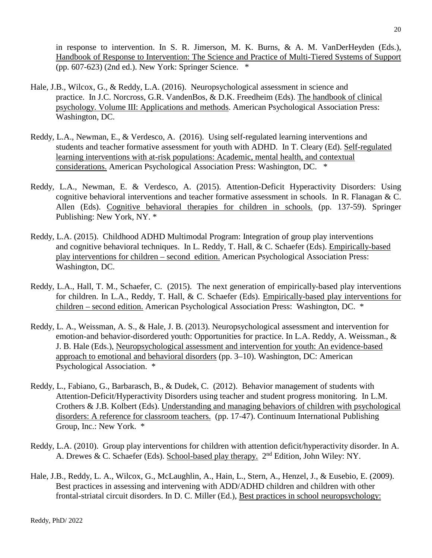in response to intervention. In S. R. Jimerson, M. K. Burns, & A. M. VanDerHeyden (Eds.), Handbook of Response to Intervention: The Science and Practice of Multi-Tiered Systems of Support (pp.  $607-623$ ) (2nd ed.). New York: Springer Science.  $*$ 

- Hale, J.B., Wilcox, G., & Reddy, L.A. (2016). Neuropsychological assessment in science and practice. In J.C. Norcross, G.R. VandenBos, & D.K. Freedheim (Eds). The handbook of clinical psychology. Volume III: Applications and methods. American Psychological Association Press: Washington, DC.
- Reddy, L.A., Newman, E., & Verdesco, A. (2016). Using self-regulated learning interventions and students and teacher formative assessment for youth with ADHD. In T. Cleary (Ed). Self-regulated learning interventions with at-risk populations: Academic, mental health, and contextual considerations. American Psychological Association Press: Washington, DC. \*
- Reddy, L.A., Newman, E. & Verdesco, A. (2015). Attention-Deficit Hyperactivity Disorders: Using cognitive behavioral interventions and teacher formative assessment in schools. In R. Flanagan & C. Allen (Eds). Cognitive behavioral therapies for children in schools. (pp. 137-59). Springer Publishing: New York, NY. \*
- Reddy, L.A. (2015). Childhood ADHD Multimodal Program: Integration of group play interventions and cognitive behavioral techniques. In L. Reddy, T. Hall, & C. Schaefer (Eds). Empirically-based play interventions for children – second edition. American Psychological Association Press: Washington, DC.
- Reddy, L.A., Hall, T. M., Schaefer, C. (2015). The next generation of empirically-based play interventions for children. In L.A., Reddy, T. Hall, & C. Schaefer (Eds). Empirically-based play interventions for children – second edition. American Psychological Association Press: Washington, DC. \*
- Reddy, L. A., Weissman, A. S., & Hale, J. B. (2013). Neuropsychological assessment and intervention for emotion-and behavior-disordered youth: Opportunities for practice. In L.A. Reddy, A. Weissman., & J. B. Hale (Eds.), Neuropsychological assessment and intervention for youth: An evidence-based approach to emotional and behavioral disorders (pp. 3–10). Washington, DC: American Psychological Association. \*
- Reddy, L., Fabiano, G., Barbarasch, B., & Dudek, C.(2012). Behavior management of students with Attention-Deficit/Hyperactivity Disorders using teacher and student progress monitoring. In L.M. Crothers & J.B. Kolbert (Eds). Understanding and managing behaviors of children with psychological disorders: A reference for classroom teachers. (pp. 17-47). Continuum International Publishing Group, Inc.: New York. \*
- Reddy, L.A. (2010). Group play interventions for children with attention deficit/hyperactivity disorder. In A. A. Drewes & C. Schaefer (Eds). School-based play therapy. 2<sup>nd</sup> Edition, John Wiley: NY.
- Hale, J.B., Reddy, L. A., Wilcox, G., McLaughlin, A., Hain, L., Stern, A., Henzel, J., & Eusebio, E. (2009). Best practices in assessing and intervening with ADD/ADHD children and children with other frontal-striatal circuit disorders. In D. C. Miller (Ed.), Best practices in school neuropsychology: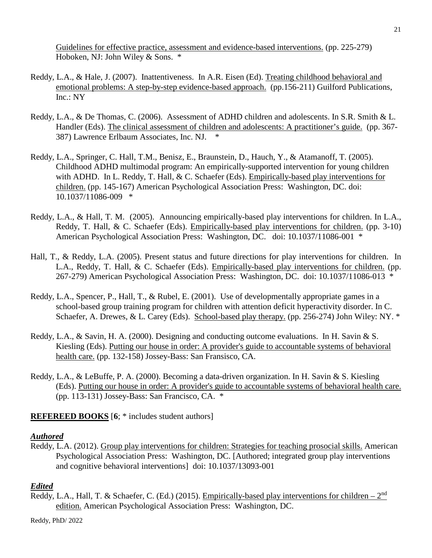Guidelines for effective practice, assessment and evidence-based interventions. (pp. 225-279) Hoboken, NJ: John Wiley & Sons. \*

21

- Reddy, L.A., & Hale, J. (2007). Inattentiveness. In A.R. Eisen (Ed). Treating childhood behavioral and emotional problems: A step-by-step evidence-based approach. (pp.156-211) Guilford Publications, Inc.: NY
- Reddy, L.A., & De Thomas, C. (2006). Assessment of ADHD children and adolescents. In S.R. Smith & L. Handler (Eds). The clinical assessment of children and adolescents: A practitioner's guide. (pp. 367- 387) Lawrence Erlbaum Associates, Inc. NJ. \*
- Reddy, L.A., Springer, C. Hall, T.M., Benisz, E., Braunstein, D., Hauch, Y., & Atamanoff, T. (2005). Childhood ADHD multimodal program: An empirically-supported intervention for young children with ADHD. In L. Reddy, T. Hall, & C. Schaefer (Eds). Empirically-based play interventions for children. (pp. 145-167) American Psychological Association Press: Washington, DC. doi: 10.1037/11086-009 \*
- Reddy, L.A., & Hall, T. M. (2005). Announcing empirically-based play interventions for children. In L.A., Reddy, T. Hall, & C. Schaefer (Eds). Empirically-based play interventions for children. (pp. 3-10) American Psychological Association Press: Washington, DC. doi: 10.1037/11086-001 \*
- Hall, T., & Reddy, L.A. (2005). Present status and future directions for play interventions for children. In L.A., Reddy, T. Hall, & C. Schaefer (Eds). Empirically-based play interventions for children. (pp. 267-279) American Psychological Association Press: Washington, DC. doi: 10.1037/11086-013 \*
- Reddy, L.A., Spencer, P., Hall, T., & Rubel, E. (2001). Use of developmentally appropriate games in a school-based group training program for children with attention deficit hyperactivity disorder. In C. Schaefer, A. Drewes, & L. Carey (Eds). School-based play therapy. (pp. 256-274) John Wiley: NY. \*
- Reddy, L.A., & Savin, H. A. (2000). Designing and conducting outcome evaluations. In H. Savin & S. Kiesling (Eds). Putting our house in order: A provider's guide to accountable systems of behavioral health care. (pp. 132-158) Jossey-Bass: San Fransisco, CA.
- Reddy, L.A., & LeBuffe, P. A. (2000). Becoming a data-driven organization. In H. Savin & S. Kiesling (Eds). Putting our house in order: A provider's guide to accountable systems of behavioral health care. (pp. 113-131) Jossey-Bass: San Francisco, CA. \*

**REFEREED BOOKS** [**6**; \* includes student authors]

# *Authored*

Reddy, L.A. (2012). Group play interventions for children: Strategies for teaching prosocial skills. American Psychological Association Press: Washington, DC. [Authored; integrated group play interventions and cognitive behavioral interventions] doi: 10.1037/13093-001

# *Edited*

Reddy, L.A., Hall, T. & Schaefer, C. (Ed.) (2015). Empirically-based play interventions for children –  $2<sup>nd</sup>$ edition. American Psychological Association Press: Washington, DC.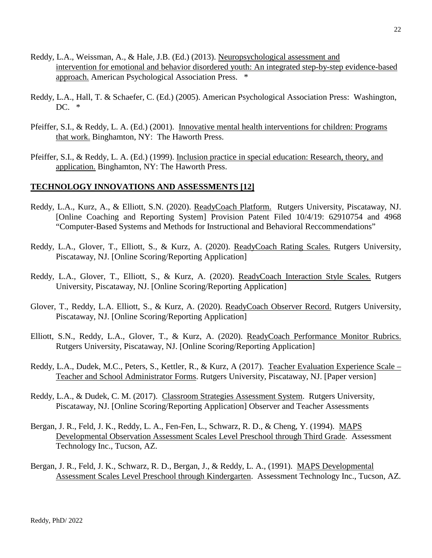- Reddy, L.A., Weissman, A., & Hale, J.B. (Ed.) (2013). Neuropsychological assessment and intervention for emotional and behavior disordered youth: An integrated step-by-step evidence-based approach. American Psychological Association Press. \*
- Reddy, L.A., Hall, T. & Schaefer, C. (Ed.) (2005). American Psychological Association Press: Washington, DC. \*
- Pfeiffer, S.I., & Reddy, L. A. (Ed.) (2001). Innovative mental health interventions for children: Programs that work. Binghamton, NY: The Haworth Press.
- Pfeiffer, S.I., & Reddy, L. A. (Ed.) (1999). Inclusion practice in special education: Research, theory, and application. Binghamton, NY: The Haworth Press.

#### **TECHNOLOGY INNOVATIONS AND ASSESSMENTS [12]**

- Reddy, L.A., Kurz, A., & Elliott, S.N. (2020). ReadyCoach Platform. Rutgers University, Piscataway, NJ. [Online Coaching and Reporting System] Provision Patent Filed 10/4/19: 62910754 and 4968 "Computer-Based Systems and Methods for Instructional and Behavioral Reccommendations"
- Reddy, L.A., Glover, T., Elliott, S., & Kurz, A. (2020). ReadyCoach Rating Scales. Rutgers University, Piscataway, NJ. [Online Scoring/Reporting Application]
- Reddy, L.A., Glover, T., Elliott, S., & Kurz, A. (2020). ReadyCoach Interaction Style Scales. Rutgers University, Piscataway, NJ. [Online Scoring/Reporting Application]
- Glover, T., Reddy, L.A. Elliott, S., & Kurz, A. (2020). ReadyCoach Observer Record. Rutgers University, Piscataway, NJ. [Online Scoring/Reporting Application]
- Elliott, S.N., Reddy, L.A., Glover, T., & Kurz, A. (2020). ReadyCoach Performance Monitor Rubrics. Rutgers University, Piscataway, NJ. [Online Scoring/Reporting Application]
- Reddy, L.A., Dudek, M.C., Peters, S., Kettler, R., & Kurz, A (2017). Teacher Evaluation Experience Scale Teacher and School Administrator Forms. Rutgers University, Piscataway, NJ. [Paper version]
- Reddy, L.A., & Dudek, C. M. (2017). Classroom Strategies Assessment System. Rutgers University, Piscataway, NJ. [Online Scoring/Reporting Application] Observer and Teacher Assessments
- Bergan, J. R., Feld, J. K., Reddy, L. A., Fen-Fen, L., Schwarz, R. D., & Cheng, Y. (1994). MAPS Developmental Observation Assessment Scales Level Preschool through Third Grade. Assessment Technology Inc., Tucson, AZ.
- Bergan, J. R., Feld, J. K., Schwarz, R. D., Bergan, J., & Reddy, L. A., (1991). MAPS Developmental Assessment Scales Level Preschool through Kindergarten. Assessment Technology Inc., Tucson, AZ.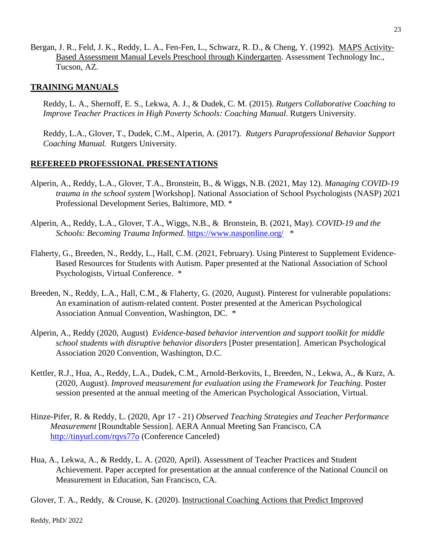Bergan, J. R., Feld, J. K., Reddy, L. A., Fen-Fen, L., Schwarz, R. D., & Cheng, Y. (1992). MAPS Activity-Based Assessment Manual Levels Preschool through Kindergarten. Assessment Technology Inc., Tucson, AZ.

### **TRAINING MANUALS**

Reddy, L. A., Shernoff, E. S., Lekwa, A. J., & Dudek, C. M. (2015). *Rutgers Collaborative Coaching to Improve Teacher Practices in High Poverty Schools: Coaching Manual*. Rutgers University.

Reddy, L.A., Glover, T., Dudek, C.M., Alperin, A. (2017). *Rutgers Paraprofessional Behavior Support Coaching Manual.* Rutgers University.

#### **REFEREED PROFESSIONAL PRESENTATIONS**

- Alperin, A., Reddy, L.A., Glover, T.A., Bronstein, B., & Wiggs, N.B. (2021, May 12). *Managing COVID-19 trauma in the school system* [Workshop]. National Association of School Psychologists (NASP) 2021 Professional Development Series, Baltimore, MD. \*
- Alperin, A., Reddy, L.A., Glover, T.A., Wiggs, N.B., & Bronstein, B. (2021, May). *COVID-19 and the Schools: Becoming Trauma Informed*. [https://www.nasponline.org/](https://nam02.safelinks.protection.outlook.com/?url=https%3A%2F%2Fwww.nasponline.org%2F&data=04%7C01%7Clreddy%40gsapp.rutgers.edu%7C951efd5e0b1e48889ba308d91a06c708%7Cb92d2b234d35447093ff69aca6632ffe%7C1%7C0%7C637569438673898519%7CUnknown%7CTWFpbGZsb3d8eyJWIjoiMC4wLjAwMDAiLCJQIjoiV2luMzIiLCJBTiI6Ik1haWwiLCJXVCI6Mn0%3D%7C1000&sdata=6ju7HK3wJVYHJUTDbDfB1d0kHbitxXwQjZFqwaUUiuo%3D&reserved=0) \*
- Flaherty, G., Breeden, N., Reddy, L., Hall, C.M. (2021, February). Using Pinterest to Supplement Evidence-Based Resources for Students with Autism. Paper presented at the National Association of School Psychologists, Virtual Conference. \*
- Breeden, N., Reddy, L.A., Hall, C.M., & Flaherty, G. (2020, August). Pinterest for vulnerable populations: An examination of autism-related content. Poster presented at the American Psychological Association Annual Convention, Washington, DC. \*
- Alperin, A., Reddy (2020, August) *Evidence-based behavior intervention and support toolkit for middle school students with disruptive behavior disorders* [Poster presentation]. American Psychological Association 2020 Convention, Washington, D.C.
- Kettler, R.J., Hua, A., Reddy, L.A., Dudek, C.M., Arnold-Berkovits, I., Breeden, N., Lekwa, A., & Kurz, A. (2020, August). *Improved measurement for evaluation using the Framework for Teaching*. Poster session presented at the annual meeting of the American Psychological Association, Virtual.
- Hinze-Pifer, R. & Reddy, L. (2020, Apr 17 21) *Observed Teaching Strategies and Teacher Performance Measurement* [Roundtable Session]. AERA Annual Meeting San Francisco, CA [http://tinyurl.com/rqvs77o](https://nam02.safelinks.protection.outlook.com/?url=http%3A%2F%2Ftinyurl.com%2Frqvs77o&data=02%7C01%7CLReddy%40gsapp.rutgers.edu%7C64524cd3ee90412e234e08d8193363eb%7Cb92d2b234d35447093ff69aca6632ffe%7C1%7C0%7C637287055792234589&sdata=2S8kcpVLruM8x9jLyUKIu3KynHF%2BYp6c8ZwFbIxW%2Fbw%3D&reserved=0) (Conference Canceled)
- Hua, A., Lekwa, A., & Reddy, L. A. (2020, April). Assessment of Teacher Practices and Student Achievement. Paper accepted for presentation at the annual conference of the National Council on Measurement in Education, San Francisco, CA.

Glover, T. A., Reddy, & Crouse, K. (2020). Instructional Coaching Actions that Predict Improved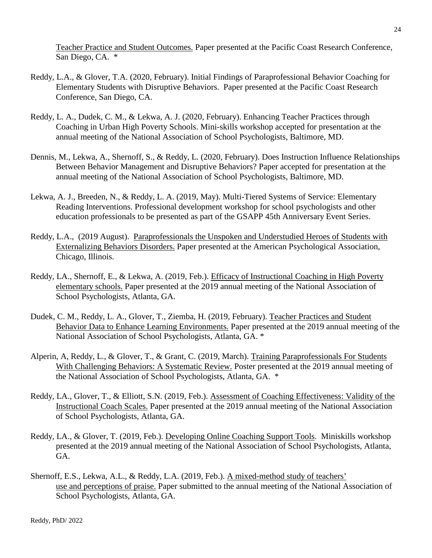Teacher Practice and Student Outcomes. Paper presented at the Pacific Coast Research Conference, San Diego, CA. \*

- Reddy, L.A., & Glover, T.A. (2020, February). Initial Findings of Paraprofessional Behavior Coaching for Elementary Students with Disruptive Behaviors. Paper presented at the Pacific Coast Research Conference, San Diego, CA.
- Reddy, L. A., Dudek, C. M., & Lekwa, A. J. (2020, February). Enhancing Teacher Practices through Coaching in Urban High Poverty Schools. Mini-skills workshop accepted for presentation at the annual meeting of the National Association of School Psychologists, Baltimore, MD.
- Dennis, M., Lekwa, A., Shernoff, S., & Reddy, L. (2020, February). Does Instruction Influence Relationships Between Behavior Management and Disruptive Behaviors? Paper accepted for presentation at the annual meeting of the National Association of School Psychologists, Baltimore, MD.
- Lekwa, A. J., Breeden, N., & Reddy, L. A. (2019, May). Multi-Tiered Systems of Service: Elementary Reading Interventions. Professional development workshop for school psychologists and other education professionals to be presented as part of the GSAPP 45th Anniversary Event Series.
- Reddy, L.A., (2019 August). Paraprofessionals the Unspoken and Understudied Heroes of Students with Externalizing Behaviors Disorders. Paper presented at the American Psychological Association, Chicago, Illinois.
- Reddy, LA., Shernoff, E., & Lekwa, A. (2019, Feb.). Efficacy of Instructional Coaching in High Poverty elementary schools. Paper presented at the 2019 annual meeting of the National Association of School Psychologists, Atlanta, GA.
- Dudek, C. M., Reddy, L. A., Glover, T., Ziemba, H. (2019, February). Teacher Practices and Student Behavior Data to Enhance Learning Environments. Paper presented at the 2019 annual meeting of the National Association of School Psychologists, Atlanta, GA. \*
- Alperin, A, Reddy, L., & Glover, T., & Grant, C. (2019, March). Training Paraprofessionals For Students With Challenging Behaviors: A Systematic Review. Poster presented at the 2019 annual meeting of the National Association of School Psychologists, Atlanta, GA. \*
- Reddy, LA., Glover, T., & Elliott, S.N. (2019, Feb.). Assessment of Coaching Effectiveness: Validity of the Instructional Coach Scales. Paper presented at the 2019 annual meeting of the National Association of School Psychologists, Atlanta, GA.
- Reddy, LA., & Glover, T. (2019, Feb.). Developing Online Coaching Support Tools. Miniskills workshop presented at the 2019 annual meeting of the National Association of School Psychologists, Atlanta, GA.
- Shernoff, E.S., Lekwa, A.L., & Reddy, L.A. (2019, Feb.). A mixed-method study of teachers' use and perceptions of praise. Paper submitted to the annual meeting of the National Association of School Psychologists, Atlanta, GA.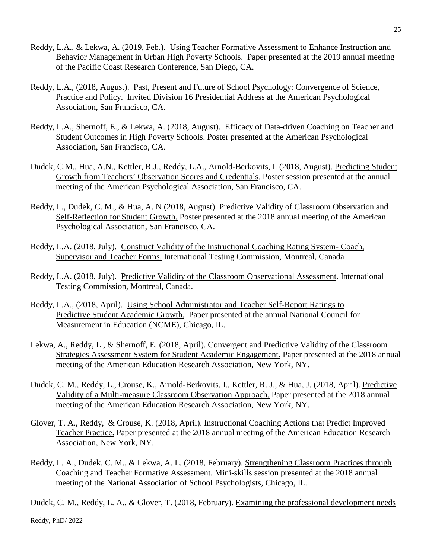- Reddy, L.A., & Lekwa, A. (2019, Feb.). Using Teacher Formative Assessment to Enhance Instruction and Behavior Management in Urban High Poverty Schools. Paper presented at the 2019 annual meeting of the Pacific Coast Research Conference, San Diego, CA.
- Reddy, L.A., (2018, August). Past, Present and Future of School Psychology: Convergence of Science, Practice and Policy. Invited Division 16 Presidential Address at the American Psychological Association, San Francisco, CA.
- Reddy, L.A., Shernoff, E., & Lekwa, A. (2018, August). Efficacy of Data-driven Coaching on Teacher and Student Outcomes in High Poverty Schools. Poster presented at the American Psychological Association, San Francisco, CA.
- Dudek, C.M., Hua, A.N., Kettler, R.J., Reddy, L.A., Arnold-Berkovits, I. (2018, August). Predicting Student Growth from Teachers' Observation Scores and Credentials. Poster session presented at the annual meeting of the American Psychological Association, San Francisco, CA.
- Reddy, L., Dudek, C. M., & Hua, A. N (2018, August). Predictive Validity of Classroom Observation and Self-Reflection for Student Growth. Poster presented at the 2018 annual meeting of the American Psychological Association, San Francisco, CA.
- Reddy, L.A. (2018, July). Construct Validity of the Instructional Coaching Rating System- Coach, Supervisor and Teacher Forms. International Testing Commission, Montreal, Canada
- Reddy, L.A. (2018, July). Predictive Validity of the Classroom Observational Assessment. International Testing Commission, Montreal, Canada.
- Reddy, L.A., (2018, April). Using School Administrator and Teacher Self-Report Ratings to Predictive Student Academic Growth. Paper presented at the annual National Council for Measurement in Education (NCME), Chicago, IL.
- Lekwa, A., Reddy, L., & Shernoff, E. (2018, April). Convergent and Predictive Validity of the Classroom Strategies Assessment System for Student Academic Engagement. Paper presented at the 2018 annual meeting of the American Education Research Association, New York, NY.
- Dudek, C. M., Reddy, L., Crouse, K., Arnold-Berkovits, I., Kettler, R. J., & Hua, J. (2018, April). Predictive Validity of a Multi-measure Classroom Observation Approach. Paper presented at the 2018 annual meeting of the American Education Research Association, New York, NY.
- Glover, T. A., Reddy, & Crouse, K. (2018, April). Instructional Coaching Actions that Predict Improved Teacher Practice. Paper presented at the 2018 annual meeting of the American Education Research Association, New York, NY.
- Reddy, L. A., Dudek, C. M., & Lekwa, A. L. (2018, February). Strengthening Classroom Practices through Coaching and Teacher Formative Assessment. Mini-skills session presented at the 2018 annual meeting of the National Association of School Psychologists, Chicago, IL.

Dudek, C. M., Reddy, L. A., & Glover, T. (2018, February). Examining the professional development needs

Reddy, PhD/ 2022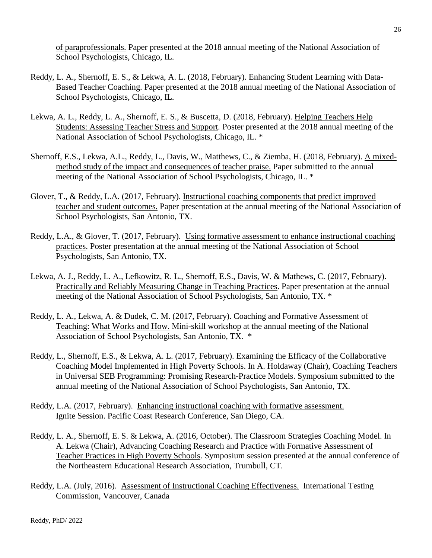of paraprofessionals. Paper presented at the 2018 annual meeting of the National Association of School Psychologists, Chicago, IL.

- Reddy, L. A., Shernoff, E. S., & Lekwa, A. L. (2018, February). Enhancing Student Learning with Data-Based Teacher Coaching. Paper presented at the 2018 annual meeting of the National Association of School Psychologists, Chicago, IL.
- Lekwa, A. L., Reddy, L. A., Shernoff, E. S., & Buscetta, D. (2018, February). Helping Teachers Help Students: Assessing Teacher Stress and Support*.* Poster presented at the 2018 annual meeting of the National Association of School Psychologists, Chicago, IL. \*
- Shernoff, E.S., Lekwa, A.L., Reddy, L., Davis, W., Matthews, C., & Ziemba, H. (2018, February). A mixedmethod study of the impact and consequences of teacher praise. Paper submitted to the annual meeting of the National Association of School Psychologists, Chicago, IL. \*
- Glover, T., & Reddy, L.A. (2017, February). Instructional coaching components that predict improved teacher and student outcomes. Paper presentation at the annual meeting of the National Association of School Psychologists, San Antonio, TX.
- Reddy, L.A., & Glover, T. (2017, February). Using formative assessment to enhance instructional coaching practices. Poster presentation at the annual meeting of the National Association of School Psychologists, San Antonio, TX.
- Lekwa, A. J., Reddy, L. A., Lefkowitz, R. L., Shernoff, E.S., Davis, W. & Mathews, C. (2017, February). Practically and Reliably Measuring Change in Teaching Practices. Paper presentation at the annual meeting of the National Association of School Psychologists, San Antonio, TX. \*
- Reddy, L. A., Lekwa, A. & Dudek, C. M. (2017, February). Coaching and Formative Assessment of Teaching: What Works and How. Mini-skill workshop at the annual meeting of the National Association of School Psychologists, San Antonio, TX. \*
- Reddy, L., Shernoff, E.S., & Lekwa, A. L. (2017, February). Examining the Efficacy of the Collaborative Coaching Model Implemented in High Poverty Schools. In A. Holdaway (Chair), Coaching Teachers in Universal SEB Programming: Promising Research-Practice Models. Symposium submitted to the annual meeting of the National Association of School Psychologists, San Antonio, TX.
- Reddy, L.A. (2017, February). Enhancing instructional coaching with formative assessment. Ignite Session. Pacific Coast Research Conference, San Diego, CA.
- Reddy, L. A., Shernoff, E. S. & Lekwa, A. (2016, October). The Classroom Strategies Coaching Model. In A. Lekwa (Chair), Advancing Coaching Research and Practice with Formative Assessment of Teacher Practices in High Poverty Schools. Symposium session presented at the annual conference of the Northeastern Educational Research Association, Trumbull, CT.
- Reddy, L.A. (July, 2016). Assessment of Instructional Coaching Effectiveness. International Testing Commission, Vancouver, Canada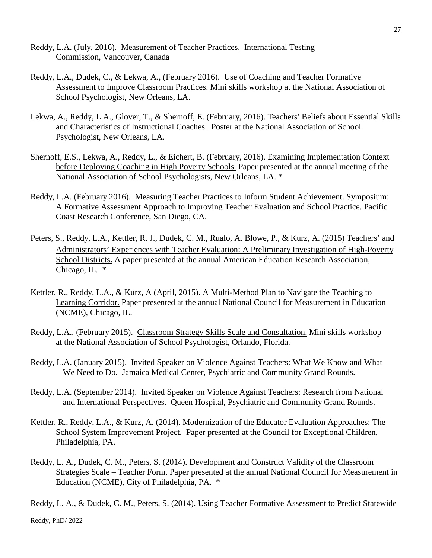- Reddy, L.A. (July, 2016). Measurement of Teacher Practices. International Testing Commission, Vancouver, Canada
- Reddy, L.A., Dudek, C., & Lekwa, A., (February 2016). Use of Coaching and Teacher Formative Assessment to Improve Classroom Practices. Mini skills workshop at the National Association of School Psychologist, New Orleans, LA.
- Lekwa, A., Reddy, L.A., Glover, T., & Shernoff, E. (February, 2016). Teachers' Beliefs about Essential Skills and Characteristics of Instructional Coaches. Poster at the National Association of School Psychologist, New Orleans, LA.
- Shernoff, E.S., Lekwa, A., Reddy, L., & Eichert, B. (February, 2016). Examining Implementation Context before Deploying Coaching in High Poverty Schools. Paper presented at the annual meeting of the National Association of School Psychologists, New Orleans, LA. \*
- Reddy, L.A. (February 2016). Measuring Teacher Practices to Inform Student Achievement. Symposium: A Formative Assessment Approach to Improving Teacher Evaluation and School Practice. Pacific Coast Research Conference, San Diego, CA.
- Peters, S., Reddy, L.A., Kettler, R. J., Dudek, C. M., Rualo, A. Blowe, P., & Kurz, A. (2015) Teachers' and Administrators' Experiences with Teacher Evaluation: A Preliminary Investigation of High-Poverty School Districts**.** A paper presented at the annual American Education Research Association, Chicago, IL. \*
- Kettler, R., Reddy, L.A., & Kurz, A (April, 2015). A Multi-Method Plan to Navigate the Teaching to Learning Corridor. Paper presented at the annual National Council for Measurement in Education (NCME), Chicago, IL.
- Reddy, L.A., (February 2015). Classroom Strategy Skills Scale and Consultation. Mini skills workshop at the National Association of School Psychologist, Orlando, Florida.
- Reddy, L.A. (January 2015). Invited Speaker on Violence Against Teachers: What We Know and What We Need to Do. Jamaica Medical Center, Psychiatric and Community Grand Rounds.
- Reddy, L.A. (September 2014). Invited Speaker on Violence Against Teachers: Research from National and International Perspectives. Queen Hospital, Psychiatric and Community Grand Rounds.
- Kettler, R., Reddy, L.A., & Kurz, A. (2014). Modernization of the Educator Evaluation Approaches: The School System Improvement Project. Paper presented at the Council for Exceptional Children, Philadelphia, PA.
- Reddy, L. A., Dudek, C. M., Peters, S. (2014). Development and Construct Validity of the Classroom Strategies Scale – Teacher Form. Paper presented at the annual National Council for Measurement in Education (NCME), City of Philadelphia, PA. \*

Reddy, L. A., & Dudek, C. M., Peters, S. (2014). Using Teacher Formative Assessment to Predict Statewide

Reddy, PhD/ 2022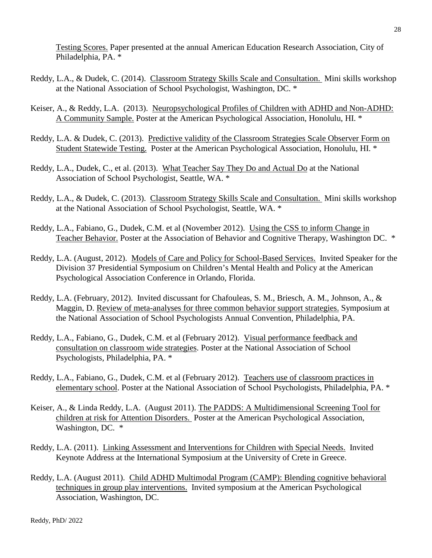Testing Scores. Paper presented at the annual American Education Research Association, City of Philadelphia, PA. \*

- Reddy, L.A., & Dudek, C. (2014). Classroom Strategy Skills Scale and Consultation. Mini skills workshop at the National Association of School Psychologist, Washington, DC. \*
- Keiser, A., & Reddy, L.A. (2013). Neuropsychological Profiles of Children with ADHD and Non-ADHD: A Community Sample. Poster at the American Psychological Association, Honolulu, HI. \*
- Reddy, L.A. & Dudek, C. (2013). Predictive validity of the Classroom Strategies Scale Observer Form on Student Statewide Testing. Poster at the American Psychological Association, Honolulu, HI. \*
- Reddy, L.A., Dudek, C., et al. (2013). What Teacher Say They Do and Actual Do at the National Association of School Psychologist, Seattle, WA. \*
- Reddy, L.A., & Dudek, C. (2013). Classroom Strategy Skills Scale and Consultation. Mini skills workshop at the National Association of School Psychologist, Seattle, WA. \*
- Reddy, L.A., Fabiano, G., Dudek, C.M. et al (November 2012). Using the CSS to inform Change in Teacher Behavior. Poster at the Association of Behavior and Cognitive Therapy, Washington DC. \*
- Reddy, L.A. (August, 2012). Models of Care and Policy for School-Based Services. Invited Speaker for the Division 37 Presidential Symposium on Children's Mental Health and Policy at the American Psychological Association Conference in Orlando, Florida.
- Reddy, L.A. (February, 2012). Invited discussant for Chafouleas, S. M., Briesch, A. M., Johnson, A., & Maggin, D. Review of meta-analyses for three common behavior support strategies. Symposium at the National Association of School Psychologists Annual Convention, Philadelphia, PA.
- Reddy, L.A., Fabiano, G., Dudek, C.M. et al (February 2012). Visual performance feedback and consultation on classroom wide strategies. Poster at the National Association of School Psychologists, Philadelphia, PA. \*
- Reddy, L.A., Fabiano, G., Dudek, C.M. et al (February 2012). Teachers use of classroom practices in elementary school. Poster at the National Association of School Psychologists, Philadelphia, PA. \*
- Keiser, A., & Linda Reddy, L.A. (August 2011). The PADDS: A Multidimensional Screening Tool for children at risk for Attention Disorders. Poster at the American Psychological Association, Washington, DC.  $*$
- Reddy, L.A. (2011). Linking Assessment and Interventions for Children with Special Needs. Invited Keynote Address at the International Symposium at the University of Crete in Greece.
- Reddy, L.A. (August 2011). Child ADHD Multimodal Program (CAMP): Blending cognitive behavioral techniques in group play interventions. Invited symposium at the American Psychological Association, Washington, DC.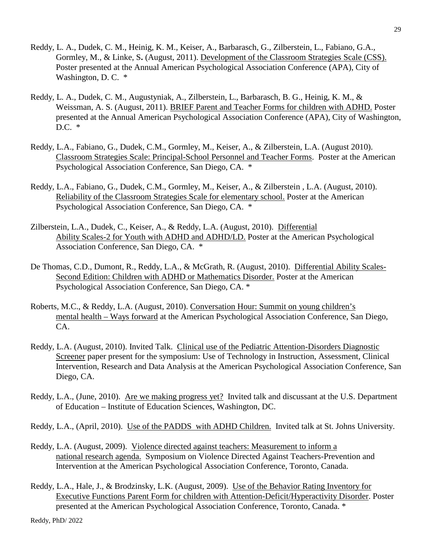- Reddy, L. A., Dudek, C. M., Heinig, K. M., Keiser, A., Barbarasch, G., Zilberstein, L., Fabiano, G.A., Gormley, M., & Linke, S**.** (August, 2011). Development of the Classroom Strategies Scale (CSS). Poster presented at the Annual American Psychological Association Conference (APA), City of Washington, D. C. \*
- Reddy, L. A., Dudek, C. M., Augustyniak, A., Zilberstein, L., Barbarasch, B. G., Heinig, K. M., & Weissman, A. S. (August, 2011). BRIEF Parent and Teacher Forms for children with ADHD. Poster presented at the Annual American Psychological Association Conference (APA), City of Washington, D.C. \*
- Reddy, L.A., Fabiano, G., Dudek, C.M., Gormley, M., Keiser, A., & Zilberstein, L.A. (August 2010). Classroom Strategies Scale: Principal-School Personnel and Teacher Forms. Poster at the American Psychological Association Conference, San Diego, CA. \*
- Reddy, L.A., Fabiano, G., Dudek, C.M., Gormley, M., Keiser, A., & Zilberstein , L.A. (August, 2010). Reliability of the Classroom Strategies Scale for elementary school. Poster at the American Psychological Association Conference, San Diego, CA. \*
- Zilberstein, L.A., Dudek, C., Keiser, A., & Reddy, L.A. (August, 2010). Differential Ability Scales-2 for Youth with ADHD and ADHD/LD. Poster at the American Psychological Association Conference, San Diego, CA. \*
- De Thomas, C.D., Dumont, R., Reddy, L.A., & McGrath, R. (August, 2010). Differential Ability Scales-Second Edition: Children with ADHD or Mathematics Disorder. Poster at the American Psychological Association Conference, San Diego, CA. \*
- Roberts, M.C., & Reddy, L.A. (August, 2010). Conversation Hour: Summit on young children's mental health – Ways forward at the American Psychological Association Conference, San Diego, CA.
- Reddy, L.A. (August, 2010). Invited Talk. Clinical use of the Pediatric Attention-Disorders Diagnostic Screener paper present for the symposium: Use of Technology in Instruction, Assessment, Clinical Intervention, Research and Data Analysis at the American Psychological Association Conference, San Diego, CA.
- Reddy, L.A., (June, 2010). Are we making progress yet? Invited talk and discussant at the U.S. Department of Education – Institute of Education Sciences, Washington, DC.
- Reddy, L.A., (April, 2010). Use of the PADDS with ADHD Children. Invited talk at St. Johns University.
- Reddy, L.A. (August, 2009). Violence directed against teachers: Measurement to inform a national research agenda. Symposium on Violence Directed Against Teachers-Prevention and Intervention at the American Psychological Association Conference, Toronto, Canada.
- Reddy, L.A., Hale, J., & Brodzinsky, L.K. (August, 2009). Use of the Behavior Rating Inventory for Executive Functions Parent Form for children with Attention-Deficit/Hyperactivity Disorder. Poster presented at the American Psychological Association Conference, Toronto, Canada. \*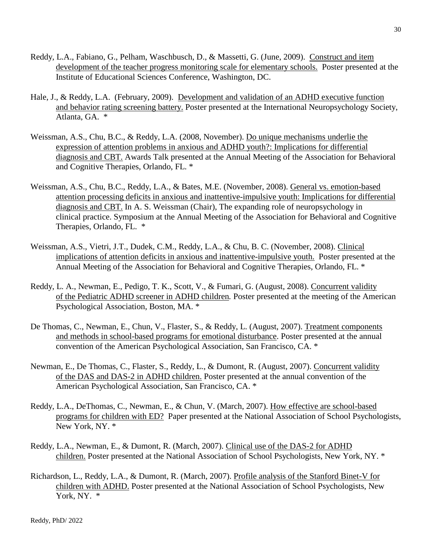- Reddy, L.A., Fabiano, G., Pelham, Waschbusch, D., & Massetti, G. (June, 2009). Construct and item development of the teacher progress monitoring scale for elementary schools. Poster presented at the Institute of Educational Sciences Conference, Washington, DC.
- Hale, J., & Reddy, L.A. (February, 2009). Development and validation of an ADHD executive function and behavior rating screening battery. Poster presented at the International Neuropsychology Society, Atlanta, GA. \*
- Weissman, A.S., Chu, B.C., & Reddy, L.A. (2008, November). Do unique mechanisms underlie the expression of attention problems in anxious and ADHD youth?: Implications for differential diagnosis and CBT. Awards Talk presented at the Annual Meeting of the Association for Behavioral and Cognitive Therapies, Orlando, FL. \*
- Weissman, A.S., Chu, B.C., Reddy, L.A., & Bates, M.E. (November, 2008). General vs. emotion-based attention processing deficits in anxious and inattentive-impulsive youth: Implications for differential diagnosis and CBT. In A. S. Weissman (Chair), The expanding role of neuropsychology in clinical practice. Symposium at the Annual Meeting of the Association for Behavioral and Cognitive Therapies, Orlando, FL. \*
- Weissman, A.S., Vietri, J.T., Dudek, C.M., Reddy, L.A., & Chu, B. C. (November, 2008). Clinical implications of attention deficits in anxious and inattentive-impulsive youth. Poster presented at the Annual Meeting of the Association for Behavioral and Cognitive Therapies, Orlando, FL. \*
- Reddy, L. A., Newman, E., Pedigo, T. K., Scott, V., & Fumari, G. (August, 2008). Concurrent validity of the Pediatric ADHD screener in ADHD children*.* Poster presented at the meeting of the American Psychological Association, Boston, MA. \*
- De Thomas, C., Newman, E., Chun, V., Flaster, S., & Reddy, L. (August, 2007). Treatment components and methods in school-based programs for emotional disturbance. Poster presented at the annual convention of the American Psychological Association, San Francisco, CA. \*
- Newman, E., De Thomas, C., Flaster, S., Reddy, L., & Dumont, R. (August, 2007). Concurrent validity of the DAS and DAS-2 in ADHD children. Poster presented at the annual convention of the American Psychological Association, San Francisco, CA. \*
- Reddy, L.A., DeThomas, C., Newman, E., & Chun, V. (March, 2007). How effective are school-based programs for children with ED? Paper presented at the National Association of School Psychologists, New York, NY. \*
- Reddy, L.A., Newman, E., & Dumont, R. (March, 2007). Clinical use of the DAS-2 for ADHD children. Poster presented at the National Association of School Psychologists, New York, NY. \*
- Richardson, L., Reddy, L.A., & Dumont, R. (March, 2007). Profile analysis of the Stanford Binet-V for children with ADHD. Poster presented at the National Association of School Psychologists, New York, NY.  $*$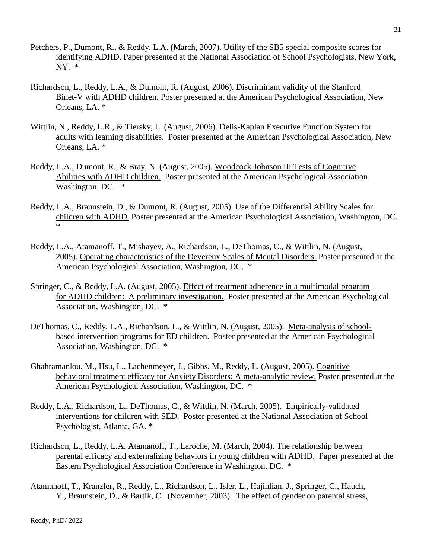- Petchers, P., Dumont, R., & Reddy, L.A. (March, 2007). Utility of the SB5 special composite scores for identifying ADHD. Paper presented at the National Association of School Psychologists, New York, NY. \*
- Richardson, L., Reddy, L.A., & Dumont, R. (August, 2006). Discriminant validity of the Stanford Binet-V with ADHD children. Poster presented at the American Psychological Association, New Orleans, LA. \*
- Wittlin, N., Reddy, L.R., & Tiersky, L. (August, 2006). Delis-Kaplan Executive Function System for adults with learning disabilities. Poster presented at the American Psychological Association, New Orleans, LA. \*
- Reddy, L.A., Dumont, R., & Bray, N. (August, 2005). Woodcock Johnson III Tests of Cognitive Abilities with ADHD children. Poster presented at the American Psychological Association, Washington, DC.  $*$
- Reddy, L.A., Braunstein, D., & Dumont, R. (August, 2005). Use of the Differential Ability Scales for children with ADHD. Poster presented at the American Psychological Association, Washington, DC. \*
- Reddy, L.A., Atamanoff, T., Mishayev, A., Richardson, L., DeThomas, C., & Wittlin, N. (August, 2005). Operating characteristics of the Devereux Scales of Mental Disorders. Poster presented at the American Psychological Association, Washington, DC. \*
- Springer, C., & Reddy, L.A. (August, 2005). Effect of treatment adherence in a multimodal program for ADHD children: A preliminary investigation. Poster presented at the American Psychological Association, Washington, DC. \*
- DeThomas, C., Reddy, L.A., Richardson, L., & Wittlin, N. (August, 2005). Meta-analysis of schoolbased intervention programs for ED children. Poster presented at the American Psychological Association, Washington, DC. \*
- Ghahramanlou, M., Hsu, L., Lachenmeyer, J., Gibbs, M., Reddy, L. (August, 2005). Cognitive behavioral treatment efficacy for Anxiety Disorders: A meta-analytic review. Poster presented at the American Psychological Association, Washington, DC. \*
- Reddy, L.A., Richardson, L., DeThomas, C., & Wittlin, N. (March, 2005). Empirically-validated interventions for children with SED. Poster presented at the National Association of School Psychologist, Atlanta, GA. \*
- Richardson, L., Reddy, L.A. Atamanoff, T., Laroche, M. (March, 2004). The relationship between parental efficacy and externalizing behaviors in young children with ADHD. Paper presented at the Eastern Psychological Association Conference in Washington, DC. \*
- Atamanoff, T., Kranzler, R., Reddy, L., Richardson, L., Isler, L., Hajinlian, J., Springer, C., Hauch, Y., Braunstein, D., & Bartik, C. (November, 2003). The effect of gender on parental stress,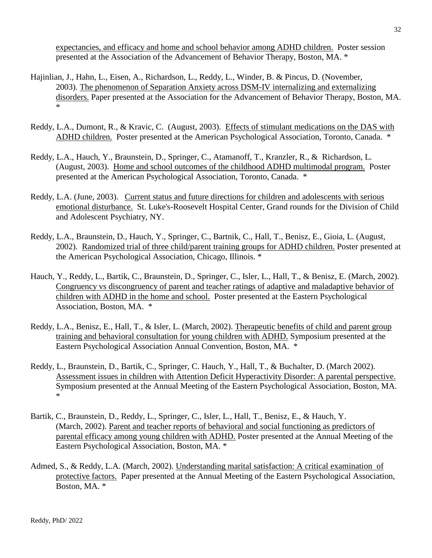expectancies, and efficacy and home and school behavior among ADHD children. Poster session presented at the Association of the Advancement of Behavior Therapy, Boston, MA. \*

- Hajinlian, J., Hahn, L., Eisen, A., Richardson, L., Reddy, L., Winder, B. & Pincus, D. (November, 2003). The phenomenon of Separation Anxiety across DSM-IV internalizing and externalizing disorders. Paper presented at the Association for the Advancement of Behavior Therapy, Boston, MA. \*
- Reddy, L.A., Dumont, R., & Kravic, C. (August, 2003). Effects of stimulant medications on the DAS with ADHD children. Poster presented at the American Psychological Association, Toronto, Canada. \*
- Reddy, L.A., Hauch, Y., Braunstein, D., Springer, C., Atamanoff, T., Kranzler, R., & Richardson, L. (August, 2003). Home and school outcomes of the childhood ADHD multimodal program. Poster presented at the American Psychological Association, Toronto, Canada. \*
- Reddy, L.A. (June, 2003). Current status and future directions for children and adolescents with serious emotional disturbance. St. Luke's-Roosevelt Hospital Center, Grand rounds for the Division of Child and Adolescent Psychiatry, NY.
- Reddy, L.A., Braunstein, D., Hauch, Y., Springer, C., Bartnik, C., Hall, T., Benisz, E., Gioia, L. (August, 2002). Randomized trial of three child/parent training groups for ADHD children. Poster presented at the American Psychological Association, Chicago, Illinois. \*
- Hauch, Y., Reddy, L., Bartik, C., Braunstein, D., Springer, C., Isler, L., Hall, T., & Benisz, E. (March, 2002). Congruency vs discongruency of parent and teacher ratings of adaptive and maladaptive behavior of children with ADHD in the home and school. Poster presented at the Eastern Psychological Association, Boston, MA. \*
- Reddy, L.A., Benisz, E., Hall, T., & Isler, L. (March, 2002). Therapeutic benefits of child and parent group training and behavioral consultation for young children with ADHD. Symposium presented at the Eastern Psychological Association Annual Convention, Boston, MA. \*
- Reddy, L., Braunstein, D., Bartik, C., Springer, C. Hauch, Y., Hall, T., & Buchalter, D. (March 2002). Assessment issues in children with Attention Deficit Hyperactivity Disorder: A parental perspective. Symposium presented at the Annual Meeting of the Eastern Psychological Association, Boston, MA. \*
- Bartik, C., Braunstein, D., Reddy, L., Springer, C., Isler, L., Hall, T., Benisz, E., & Hauch, Y. (March, 2002). Parent and teacher reports of behavioral and social functioning as predictors of parental efficacy among young children with ADHD. Poster presented at the Annual Meeting of the Eastern Psychological Association, Boston, MA. \*
- Admed, S., & Reddy, L.A. (March, 2002). Understanding marital satisfaction: A critical examination of protective factors. Paper presented at the Annual Meeting of the Eastern Psychological Association, Boston, MA. \*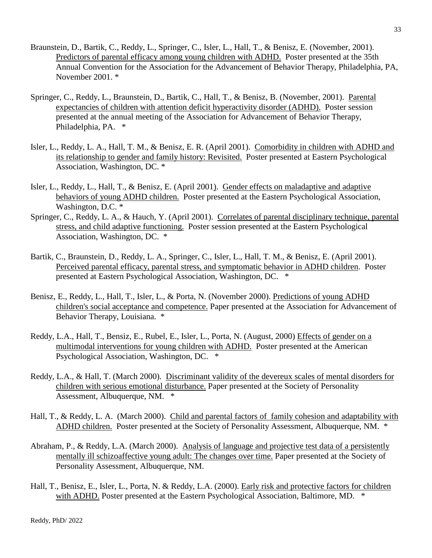- Braunstein, D., Bartik, C., Reddy, L., Springer, C., Isler, L., Hall, T., & Benisz, E. (November, 2001). Predictors of parental efficacy among young children with ADHD. Poster presented at the 35th Annual Convention for the Association for the Advancement of Behavior Therapy, Philadelphia, PA, November 2001. \*
- Springer, C., Reddy, L., Braunstein, D., Bartik, C., Hall, T., & Benisz, B. (November, 2001). Parental expectancies of children with attention deficit hyperactivity disorder (ADHD). Poster session presented at the annual meeting of the Association for Advancement of Behavior Therapy, Philadelphia, PA. \*
- Isler, L., Reddy, L. A., Hall, T. M., & Benisz, E. R. (April 2001). Comorbidity in children with ADHD and its relationship to gender and family history: Revisited. Poster presented at Eastern Psychological Association, Washington, DC. \*
- Isler, L., Reddy, L., Hall, T., & Benisz, E. (April 2001). Gender effects on maladaptive and adaptive behaviors of young ADHD children. Poster presented at the Eastern Psychological Association, Washington, D.C.  $*$
- Springer, C., Reddy, L. A., & Hauch, Y. (April 2001). Correlates of parental disciplinary technique, parental stress, and child adaptive functioning. Poster session presented at the Eastern Psychological Association, Washington, DC. \*
- Bartik, C., Braunstein, D., Reddy, L. A., Springer, C., Isler, L., Hall, T. M., & Benisz, E. (April 2001). Perceived parental efficacy, parental stress, and symptomatic behavior in ADHD children. Poster presented at Eastern Psychological Association, Washington, DC. \*
- Benisz, E., Reddy, L., Hall, T., Isler, L., & Porta, N. (November 2000). Predictions of young ADHD children's social acceptance and competence. Paper presented at the Association for Advancement of Behavior Therapy, Louisiana. \*
- Reddy, L.A., Hall, T., Bensiz, E., Rubel, E., Isler, L., Porta, N. (August, 2000) Effects of gender on a multimodal interventions for young children with ADHD. Poster presented at the American Psychological Association, Washington, DC. \*
- Reddy, L.A., & Hall, T. (March 2000). Discriminant validity of the devereux scales of mental disorders for children with serious emotional disturbance. Paper presented at the Society of Personality Assessment, Albuquerque, NM. \*
- Hall, T., & Reddy, L. A. (March 2000). Child and parental factors of family cohesion and adaptability with ADHD children. Poster presented at the Society of Personality Assessment, Albuquerque, NM. \*
- Abraham, P., & Reddy, L.A. (March 2000). Analysis of language and projective test data of a persistently mentally ill schizoaffective young adult: The changes over time. Paper presented at the Society of Personality Assessment, Albuquerque, NM.
- Hall, T., Benisz, E., Isler, L., Porta, N. & Reddy, L.A. (2000). Early risk and protective factors for children with ADHD. Poster presented at the Eastern Psychological Association, Baltimore, MD. \*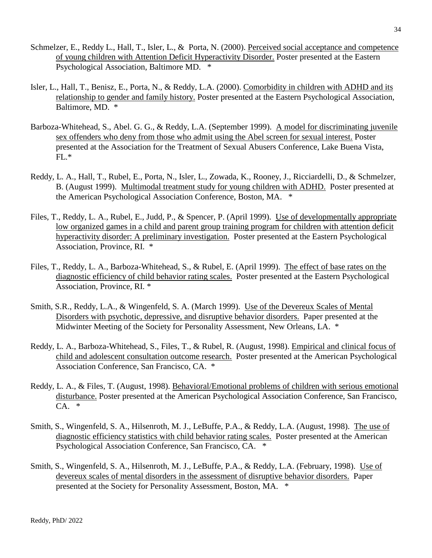- Schmelzer, E., Reddy L., Hall, T., Isler, L., & Porta, N. (2000). Perceived social acceptance and competence of young children with Attention Deficit Hyperactivity Disorder. Poster presented at the Eastern Psychological Association, Baltimore MD. \*
- Isler, L., Hall, T., Benisz, E., Porta, N., & Reddy, L.A. (2000). Comorbidity in children with ADHD and its relationship to gender and family history. Poster presented at the Eastern Psychological Association, Baltimore, MD. \*
- Barboza-Whitehead, S., Abel. G. G., & Reddy, L.A. (September 1999). A model for discriminating juvenile sex offenders who deny from those who admit using the Abel screen for sexual interest. Poster presented at the Association for the Treatment of Sexual Abusers Conference, Lake Buena Vista, FL.\*
- Reddy, L. A., Hall, T., Rubel, E., Porta, N., Isler, L., Zowada, K., Rooney, J., Ricciardelli, D., & Schmelzer, B. (August 1999). Multimodal treatment study for young children with ADHD. Poster presented at the American Psychological Association Conference, Boston, MA. \*
- Files, T., Reddy, L. A., Rubel, E., Judd, P., & Spencer, P. (April 1999). Use of developmentally appropriate low organized games in a child and parent group training program for children with attention deficit hyperactivity disorder: A preliminary investigation. Poster presented at the Eastern Psychological Association, Province, RI. \*
- Files, T., Reddy, L. A., Barboza-Whitehead, S., & Rubel, E. (April 1999). The effect of base rates on the diagnostic efficiency of child behavior rating scales. Poster presented at the Eastern Psychological Association, Province, RI. \*
- Smith, S.R., Reddy, L.A., & Wingenfeld, S. A. (March 1999). Use of the Devereux Scales of Mental Disorders with psychotic, depressive, and disruptive behavior disorders. Paper presented at the Midwinter Meeting of the Society for Personality Assessment, New Orleans, LA. \*
- Reddy, L. A., Barboza-Whitehead, S., Files, T., & Rubel, R. (August, 1998). Empirical and clinical focus of child and adolescent consultation outcome research. Poster presented at the American Psychological Association Conference, San Francisco, CA. \*
- Reddy, L. A., & Files, T. (August, 1998). Behavioral/Emotional problems of children with serious emotional disturbance. Poster presented at the American Psychological Association Conference, San Francisco,  $CA.$
- Smith, S., Wingenfeld, S. A., Hilsenroth, M. J., LeBuffe, P.A., & Reddy, L.A. (August, 1998). The use of diagnostic efficiency statistics with child behavior rating scales. Poster presented at the American Psychological Association Conference, San Francisco, CA. \*
- Smith, S., Wingenfeld, S. A., Hilsenroth, M. J., LeBuffe, P.A., & Reddy, L.A. (February, 1998). Use of devereux scales of mental disorders in the assessment of disruptive behavior disorders. Paper presented at the Society for Personality Assessment, Boston, MA. \*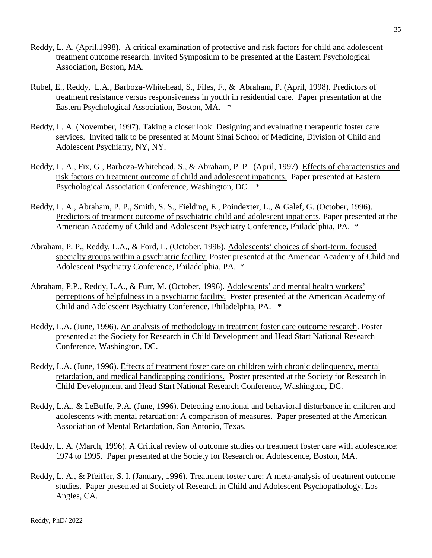- Reddy, L. A. (April,1998). A critical examination of protective and risk factors for child and adolescent treatment outcome research. Invited Symposium to be presented at the Eastern Psychological Association, Boston, MA.
- Rubel, E., Reddy, L.A., Barboza-Whitehead, S., Files, F., & Abraham, P. (April, 1998). Predictors of treatment resistance versus responsiveness in youth in residential care. Paper presentation at the Eastern Psychological Association, Boston, MA. \*
- Reddy, L. A. (November, 1997). Taking a closer look: Designing and evaluating therapeutic foster care services. Invited talk to be presented at Mount Sinai School of Medicine, Division of Child and Adolescent Psychiatry, NY, NY.
- Reddy, L. A., Fix, G., Barboza-Whitehead, S., & Abraham, P. P. (April, 1997). Effects of characteristics and risk factors on treatment outcome of child and adolescent inpatients. Paper presented at Eastern Psychological Association Conference, Washington, DC. \*
- Reddy, L. A., Abraham, P. P., Smith, S. S., Fielding, E., Poindexter, L., & Galef, G. (October, 1996). Predictors of treatment outcome of psychiatric child and adolescent inpatients. Paper presented at the American Academy of Child and Adolescent Psychiatry Conference, Philadelphia, PA. \*
- Abraham, P. P., Reddy, L.A., & Ford, L. (October, 1996). Adolescents' choices of short-term, focused specialty groups within a psychiatric facility. Poster presented at the American Academy of Child and Adolescent Psychiatry Conference, Philadelphia, PA. \*
- Abraham, P.P., Reddy, L.A., & Furr, M. (October, 1996). Adolescents' and mental health workers' perceptions of helpfulness in a psychiatric facility. Poster presented at the American Academy of Child and Adolescent Psychiatry Conference, Philadelphia, PA. \*
- Reddy, L.A. (June, 1996). An analysis of methodology in treatment foster care outcome research. Poster presented at the Society for Research in Child Development and Head Start National Research Conference, Washington, DC.
- Reddy, L.A. (June, 1996). Effects of treatment foster care on children with chronic delinquency, mental retardation, and medical handicapping conditions. Poster presented at the Society for Research in Child Development and Head Start National Research Conference, Washington, DC.
- Reddy, L.A., & LeBuffe, P.A. (June, 1996). Detecting emotional and behavioral disturbance in children and adolescents with mental retardation: A comparison of measures. Paper presented at the American Association of Mental Retardation, San Antonio, Texas.
- Reddy, L. A. (March, 1996). A Critical review of outcome studies on treatment foster care with adolescence: 1974 to 1995. Paper presented at the Society for Research on Adolescence, Boston, MA.
- Reddy, L. A., & Pfeiffer, S. I. (January, 1996). Treatment foster care: A meta-analysis of treatment outcome studies. Paper presented at Society of Research in Child and Adolescent Psychopathology, Los Angles, CA.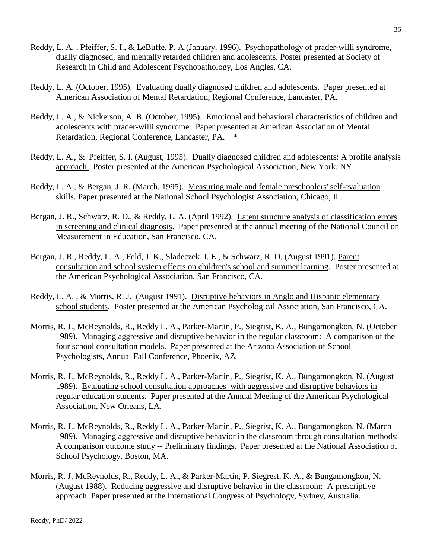- Reddy, L. A. , Pfeiffer, S. I., & LeBuffe, P. A.(January, 1996). Psychopathology of prader-willi syndrome, dually diagnosed, and mentally retarded children and adolescents. Poster presented at Society of Research in Child and Adolescent Psychopathology, Los Angles, CA.
- Reddy, L. A. (October, 1995). Evaluating dually diagnosed children and adolescents. Paper presented at American Association of Mental Retardation, Regional Conference, Lancaster, PA.
- Reddy, L. A., & Nickerson, A. B. (October, 1995). Emotional and behavioral characteristics of children and adolescents with prader-willi syndrome. Paper presented at American Association of Mental Retardation, Regional Conference, Lancaster, PA. \*
- Reddy, L. A., & Pfeiffer, S. I. (August, 1995). Dually diagnosed children and adolescents: A profile analysis approach. Poster presented at the American Psychological Association, New York, NY.
- Reddy, L. A., & Bergan, J. R. (March, 1995). Measuring male and female preschoolers' self-evaluation skills. Paper presented at the National School Psychologist Association, Chicago, IL.
- Bergan, J. R., Schwarz, R. D., & Reddy, L. A. (April 1992). Latent structure analysis of classification errors in screening and clinical diagnosis. Paper presented at the annual meeting of the National Council on Measurement in Education, San Francisco, CA.
- Bergan, J. R., Reddy, L. A., Feld, J. K., Sladeczek, I. E., & Schwarz, R. D. (August 1991). Parent consultation and school system effects on children's school and summer learning. Poster presented at the American Psychological Association, San Francisco, CA.
- Reddy, L. A. , & Morris, R. J. (August 1991). Disruptive behaviors in Anglo and Hispanic elementary school students. Poster presented at the American Psychological Association, San Francisco, CA.
- Morris, R. J., McReynolds, R., Reddy L. A., Parker-Martin, P., Siegrist, K. A., Bungamongkon, N. (October 1989). Managing aggressive and disruptive behavior in the regular classroom: A comparison of the four school consultation models. Paper presented at the Arizona Association of School Psychologists, Annual Fall Conference, Phoenix, AZ.
- Morris, R. J., McReynolds, R., Reddy L. A., Parker-Martin, P., Siegrist, K. A., Bungamongkon, N. (August 1989). Evaluating school consultation approaches with aggressive and disruptive behaviors in regular education students. Paper presented at the Annual Meeting of the American Psychological Association, New Orleans, LA.
- Morris, R. J., McReynolds, R., Reddy L. A., Parker-Martin, P., Siegrist, K. A., Bungamongkon, N. (March 1989). Managing aggressive and disruptive behavior in the classroom through consultation methods: A comparison outcome study -- Preliminary findings. Paper presented at the National Association of School Psychology, Boston, MA.
- Morris, R. J, McReynolds, R., Reddy, L. A., & Parker-Martin, P. Siegrest, K. A., & Bungamongkon, N. (August 1988). Reducing aggressive and disruptive behavior in the classroom: A prescriptive approach. Paper presented at the International Congress of Psychology, Sydney, Australia.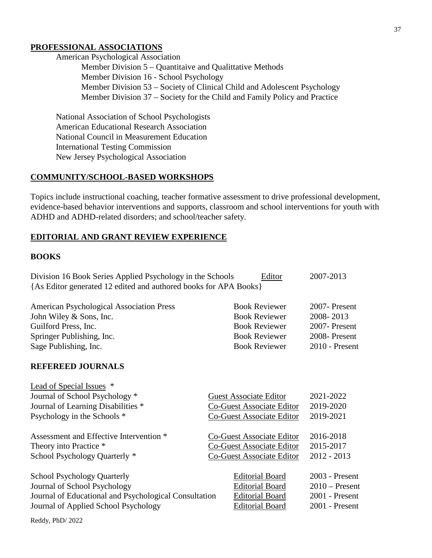# **PROFESSIONAL ASSOCIATIONS**

American Psychological Association Member Division 5 – Quantitaive and Qualittative Methods Member Division 16 - School Psychology Member Division 53 – Society of Clinical Child and Adolescent Psychology Member Division 37 – Society for the Child and Family Policy and Practice

National Association of School Psychologists American Educational Research Association National Council in Measurement Education International Testing Commission New Jersey Psychological Association

### **COMMUNITY/SCHOOL-BASED WORKSHOPS**

Topics include instructional coaching, teacher formative assessment to drive professional development, evidence-based behavior interventions and supports, classroom and school interventions for youth with ADHD and ADHD-related disorders; and school/teacher safety.

### **EDITORIAL AND GRANT REVIEW EXPERIENCE**

#### **BOOKS**

| Division 16 Book Series Applied Psychology in the Schools        | Editor               | 2007-2013     |
|------------------------------------------------------------------|----------------------|---------------|
| {As Editor generated 12 edited and authored books for APA Books} |                      |               |
| <b>American Psychological Association Press</b>                  | <b>Book Reviewer</b> | 2007- Present |
| TI WI'I 0 O T                                                    | י תו ת               | 0.00000012    |

| John Wiley $&$ Sons, Inc. | <b>Book Reviewer</b> | 2008-2013        |
|---------------------------|----------------------|------------------|
| Guilford Press, Inc.      | <b>Book Reviewer</b> | 2007- Present    |
| Springer Publishing, Inc. | <b>Book Reviewer</b> | 2008-Present     |
| Sage Publishing, Inc.     | <b>Book Reviewer</b> | $2010$ - Present |

### **REFEREED JOURNALS**

| Lead of Special Issues *                              |                                  |                  |
|-------------------------------------------------------|----------------------------------|------------------|
| Journal of School Psychology *                        | <b>Guest Associate Editor</b>    | 2021-2022        |
| Journal of Learning Disabilities *                    | Co-Guest Associate Editor        | 2019-2020        |
| Psychology in the Schools *                           | <b>Co-Guest Associate Editor</b> | 2019-2021        |
| Assessment and Effective Intervention *               | Co-Guest Associate Editor        | 2016-2018        |
| Theory into Practice *                                | <b>Co-Guest Associate Editor</b> | 2015-2017        |
| School Psychology Quarterly *                         | <b>Co-Guest Associate Editor</b> | $2012 - 2013$    |
| <b>School Psychology Quarterly</b>                    | <b>Editorial Board</b>           | $2003$ - Present |
| Journal of School Psychology                          | <b>Editorial Board</b>           | $2010$ – Present |
| Journal of Educational and Psychological Consultation | <b>Editorial Board</b>           | $2001$ - Present |
| Journal of Applied School Psychology                  | <b>Editorial Board</b>           | $2001$ - Present |
|                                                       |                                  |                  |

Reddy, PhD/ 2022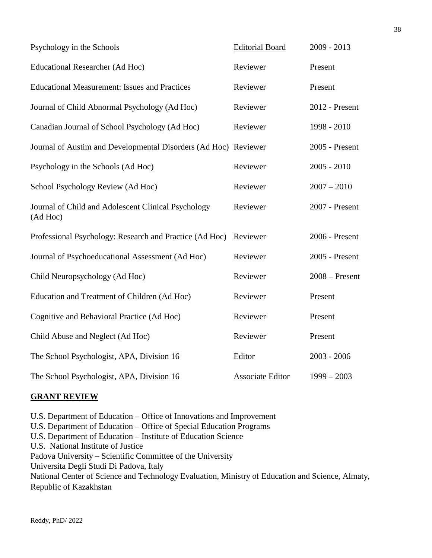| Psychology in the Schools                                       | <b>Editorial Board</b>  | $2009 - 2013$    |
|-----------------------------------------------------------------|-------------------------|------------------|
| <b>Educational Researcher (Ad Hoc)</b>                          | Reviewer                | Present          |
| <b>Educational Measurement: Issues and Practices</b>            | Reviewer                | Present          |
| Journal of Child Abnormal Psychology (Ad Hoc)                   | Reviewer                | 2012 - Present   |
| Canadian Journal of School Psychology (Ad Hoc)                  | Reviewer                | 1998 - 2010      |
| Journal of Austim and Developmental Disorders (Ad Hoc) Reviewer |                         | 2005 - Present   |
| Psychology in the Schools (Ad Hoc)                              | Reviewer                | $2005 - 2010$    |
| School Psychology Review (Ad Hoc)                               | Reviewer                | $2007 - 2010$    |
| Journal of Child and Adolescent Clinical Psychology<br>(Ad Hoc) | Reviewer                | 2007 - Present   |
| Professional Psychology: Research and Practice (Ad Hoc)         | Reviewer                | 2006 - Present   |
| Journal of Psychoeducational Assessment (Ad Hoc)                | Reviewer                | 2005 - Present   |
| Child Neuropsychology (Ad Hoc)                                  | Reviewer                | $2008 -$ Present |
| Education and Treatment of Children (Ad Hoc)                    | Reviewer                | Present          |
| Cognitive and Behavioral Practice (Ad Hoc)                      | Reviewer                | Present          |
| Child Abuse and Neglect (Ad Hoc)                                | Reviewer                | Present          |
| The School Psychologist, APA, Division 16                       | Editor                  | $2003 - 2006$    |
| The School Psychologist, APA, Division 16                       | <b>Associate Editor</b> | $1999 - 2003$    |

### **GRANT REVIEW**

U.S. Department of Education – Office of Innovations and Improvement U.S. Department of Education – Office of Special Education Programs U.S. Department of Education – Institute of Education Science U.S. National Institute of Justice Padova University – Scientific Committee of the University Universita Degli Studi Di Padova, Italy National Center of Science and Technology Evaluation, Ministry of Education and Science, Almaty, Republic of Kazakhstan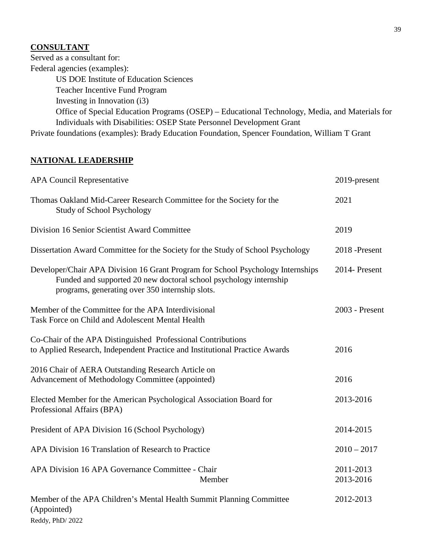# **CONSULTANT**

Served as a consultant for: Federal agencies (examples): US DOE Institute of Education Sciences Teacher Incentive Fund Program Investing in Innovation (i3) Office of Special Education Programs (OSEP) – Educational Technology, Media, and Materials for Individuals with Disabilities: OSEP State Personnel Development Grant Private foundations (examples): Brady Education Foundation, Spencer Foundation, William T Grant

# **NATIONAL LEADERSHIP**

| <b>APA Council Representative</b>                                                                                                                                                                       | 2019-present           |
|---------------------------------------------------------------------------------------------------------------------------------------------------------------------------------------------------------|------------------------|
| Thomas Oakland Mid-Career Research Committee for the Society for the<br><b>Study of School Psychology</b>                                                                                               | 2021                   |
| Division 16 Senior Scientist Award Committee                                                                                                                                                            | 2019                   |
| Dissertation Award Committee for the Society for the Study of School Psychology                                                                                                                         | 2018 -Present          |
| Developer/Chair APA Division 16 Grant Program for School Psychology Internships<br>Funded and supported 20 new doctoral school psychology internship<br>programs, generating over 350 internship slots. | 2014- Present          |
| Member of the Committee for the APA Interdivisional<br>Task Force on Child and Adolescent Mental Health                                                                                                 | 2003 - Present         |
| Co-Chair of the APA Distinguished Professional Contributions<br>to Applied Research, Independent Practice and Institutional Practice Awards                                                             | 2016                   |
| 2016 Chair of AERA Outstanding Research Article on<br>Advancement of Methodology Committee (appointed)                                                                                                  | 2016                   |
| Elected Member for the American Psychological Association Board for<br>Professional Affairs (BPA)                                                                                                       | 2013-2016              |
| President of APA Division 16 (School Psychology)                                                                                                                                                        | 2014-2015              |
| APA Division 16 Translation of Research to Practice                                                                                                                                                     | $2010 - 2017$          |
| APA Division 16 APA Governance Committee - Chair<br>Member                                                                                                                                              | 2011-2013<br>2013-2016 |
| Member of the APA Children's Mental Health Summit Planning Committee<br>(Appointed)<br>Reddy, PhD/2022                                                                                                  | 2012-2013              |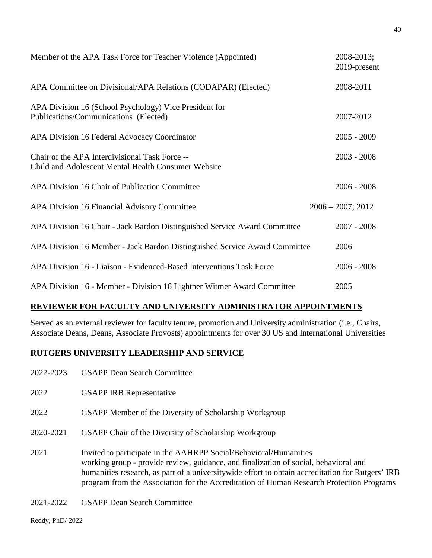| Member of the APA Task Force for Teacher Violence (Appointed)                                         | 2008-2013;<br>2019-present |
|-------------------------------------------------------------------------------------------------------|----------------------------|
| APA Committee on Divisional/APA Relations (CODAPAR) (Elected)                                         | 2008-2011                  |
| APA Division 16 (School Psychology) Vice President for<br>Publications/Communications (Elected)       | 2007-2012                  |
| APA Division 16 Federal Advocacy Coordinator                                                          | $2005 - 2009$              |
| Chair of the APA Interdivisional Task Force --<br>Child and Adolescent Mental Health Consumer Website | $2003 - 2008$              |
| APA Division 16 Chair of Publication Committee                                                        | $2006 - 2008$              |
| APA Division 16 Financial Advisory Committee                                                          | $2006 - 2007$ ; 2012       |
| APA Division 16 Chair - Jack Bardon Distinguished Service Award Committee                             | $2007 - 2008$              |
| APA Division 16 Member - Jack Bardon Distinguished Service Award Committee                            | 2006                       |
| APA Division 16 - Liaison - Evidenced-Based Interventions Task Force                                  | $2006 - 2008$              |
| APA Division 16 - Member - Division 16 Lightner Witmer Award Committee                                | 2005                       |

# **REVIEWER FOR FACULTY AND UNIVERSITY ADMINISTRATOR APPOINTMENTS**

Served as an external reviewer for faculty tenure, promotion and University administration (i.e., Chairs, Associate Deans, Deans, Associate Provosts) appointments for over 30 US and International Universities

# **RUTGERS UNIVERSITY LEADERSHIP AND SERVICE**

- 2022-2023 GSAPP Dean Search Committee
- 2022 GSAPP IRB Representative
- 2022 GSAPP Member of the Diversity of Scholarship Workgroup
- 2020-2021 GSAPP Chair of the Diversity of Scholarship Workgroup
- 2021 Invited to participate in the AAHRPP Social/Behavioral/Humanities working group - provide review, guidance, and finalization of social, behavioral and humanities research, as part of a universitywide effort to obtain accreditation for Rutgers' IRB program from the Association for the Accreditation of Human Research Protection Programs
- 2021-2022 GSAPP Dean Search Committee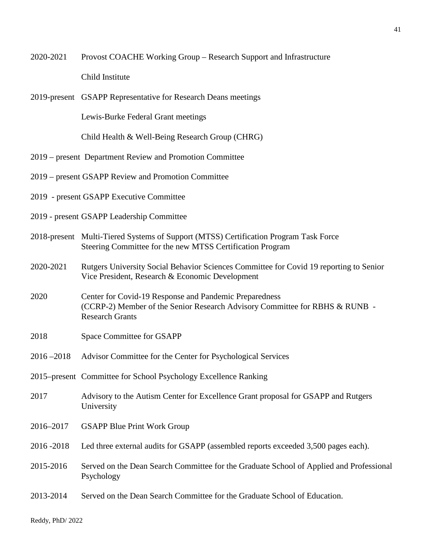2020-2021 Provost COACHE Working Group – Research Support and Infrastructure Child Institute

2019-present GSAPP Representative for Research Deans meetings

Lewis-Burke Federal Grant meetings

Child Health & Well-Being Research Group (CHRG)

- 2019 present Department Review and Promotion Committee
- 2019 present GSAPP Review and Promotion Committee
- 2019 present GSAPP Executive Committee
- 2019 present GSAPP Leadership Committee
- 2018-present Multi-Tiered Systems of Support (MTSS) Certification Program Task Force Steering Committee for the new MTSS Certification Program
- 2020-2021 Rutgers University Social Behavior Sciences Committee for Covid 19 reporting to Senior Vice President, Research & Economic Development
- 2020 Center for Covid-19 Response and Pandemic Preparedness (CCRP-2) Member of the Senior Research Advisory Committee for RBHS & RUNB - Research Grants
- 2018 Space Committee for GSAPP
- 2016 –2018 Advisor Committee for the Center for Psychological Services
- 2015–present Committee for School Psychology Excellence Ranking
- 2017 Advisory to the Autism Center for Excellence Grant proposal for GSAPP and Rutgers University
- 2016–2017 GSAPP Blue Print Work Group
- 2016 -2018 Led three external audits for GSAPP (assembled reports exceeded 3,500 pages each).
- 2015-2016 Served on the Dean Search Committee for the Graduate School of Applied and Professional Psychology
- 2013-2014 Served on the Dean Search Committee for the Graduate School of Education.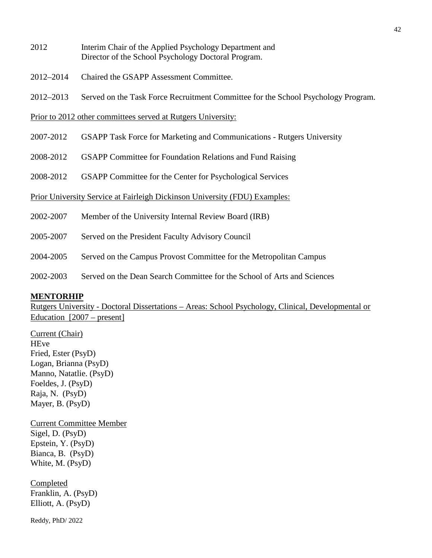- 2012 Interim Chair of the Applied Psychology Department and Director of the School Psychology Doctoral Program.
- 2012–2014 Chaired the GSAPP Assessment Committee.
- 2012–2013 Served on the Task Force Recruitment Committee for the School Psychology Program.

Prior to 2012 other committees served at Rutgers University:

- 2007-2012 GSAPP Task Force for Marketing and Communications Rutgers University
- 2008-2012 GSAPP Committee for Foundation Relations and Fund Raising
- 2008-2012 GSAPP Committee for the Center for Psychological Services

Prior University Service at Fairleigh Dickinson University (FDU) Examples:

- 2002-2007 Member of the University Internal Review Board (IRB)
- 2005-2007 Served on the President Faculty Advisory Council
- 2004-2005 Served on the Campus Provost Committee for the Metropolitan Campus
- 2002-2003 Served on the Dean Search Committee for the School of Arts and Sciences

#### **MENTORHIP**

Rutgers University - Doctoral Dissertations – Areas: School Psychology, Clinical, Developmental or Education [2007 – present]

Current (Chair) **HEve** Fried, Ester (PsyD) Logan, Brianna (PsyD) Manno, Natatlie. (PsyD) Foeldes, J. (PsyD) Raja, N. (PsyD) Mayer, B. (PsyD)

Current Committee Member Sigel, D. (PsyD) Epstein, Y. (PsyD) Bianca, B. (PsyD) White, M. (PsyD)

Completed Franklin, A. (PsyD) Elliott, A. (PsyD)

Reddy, PhD/ 2022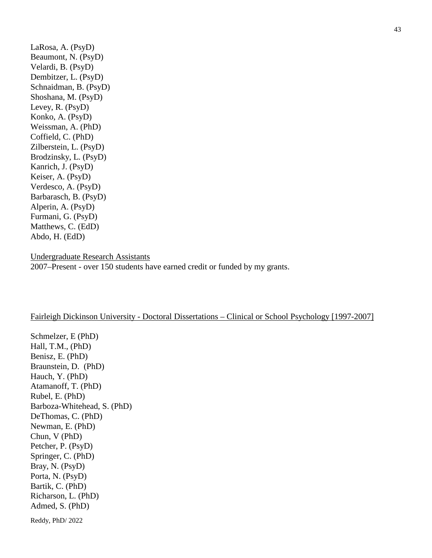LaRosa, A. (PsyD) Beaumont, N. (PsyD) Velardi, B. (PsyD) Dembitzer, L. (PsyD) Schnaidman, B. (PsyD) Shoshana, M. (PsyD) Levey, R. (PsyD) Konko, A. (PsyD) Weissman, A. (PhD) Coffield, C. (PhD) Zilberstein, L. (PsyD) Brodzinsky, L. (PsyD) Kanrich, J. (PsyD) Keiser, A. (PsyD) Verdesco, A. (PsyD) Barbarasch, B. (PsyD) Alperin, A. (PsyD) Furmani, G. (PsyD) Matthews, C. (EdD) Abdo, H. (EdD)

Undergraduate Research Assistants 2007–Present - over 150 students have earned credit or funded by my grants.

#### Fairleigh Dickinson University - Doctoral Dissertations – Clinical or School Psychology [1997-2007]

Reddy, PhD/ 2022 Schmelzer, E (PhD) Hall, T.M., (PhD) Benisz, E. (PhD) Braunstein, D. (PhD) Hauch, Y. (PhD) Atamanoff, T. (PhD) Rubel, E. (PhD) Barboza-Whitehead, S. (PhD) DeThomas, C. (PhD) Newman, E. (PhD) Chun, V (PhD) Petcher, P. (PsyD) Springer, C. (PhD) Bray, N. (PsyD) Porta, N. (PsyD) Bartik, C. (PhD) Richarson, L. (PhD) Admed, S. (PhD)